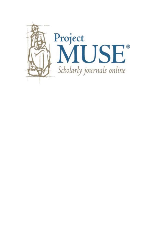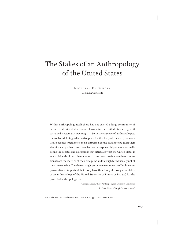Nicholas De Genova **Columbia University**

Within anthropology itself there has not existed a large community of dense, vital critical discussion of work in the United States to give it sustained, systematic meaning. . . . So in the absence of anthropologists themselves defining a distinctive place for this body of research, the work itself becomes fragmented and is dispersed as case studies to be given their significance by other constituencies that more powerfully or more normally define the debates and discussions that articulate what the United States is as a social and cultural phenomenon. . . . Anthropologists join these discussions from the margins of their discipline and through terms usually not of their own making. They have a single point to make, a case to offer, however provocative or important, but rarely have they thought through the stakes of an anthropology of the United States (or of France or Britain) for the project of anthropology itself.

> —George Marcus, "How Anthropological Curiosity Consumes Its Own Places of Origin" (1999, 418–19)

© *CR: The New Centennial Review*, Vol. 7, No. 2, 2007, pp. 231–277. issn 1532-687x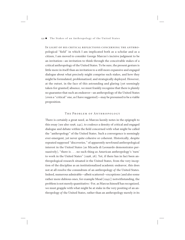In light of his critical reflections concerning the anthropological "field" in which I am implicated both as a scholar and as a citizen, I am moved to consider George Marcus's incisive judgment to be an invitation—an invitation to think through the conceivable stakes of a critical anthropology of the United States. To be sure, the present gesture is little more in itself than an invitation to a still more expansive and engaged dialogue about what precisely might comprise such stakes, and how they might be formulated, problematized, and strategically deployed. However, at the outset, in the face of this astounding and glaring (yet seemingly taken-for-granted) absence, we must frankly recognize that there is plainly no guarantee that such an endeavor—an anthropology of the United States (even a "critical" one, as I have suggested)—may be presumed to be a viable proposition.

## The Problem of Anthropology

There is certainly a great need, as Marcus keenly notes in the epigraph to this essay (see also 1998, 242), to coalesce a density of critical and engaged dialogue and debate within the field concerned with what might be called the "anthropology" of the United States. Such a convergence is seemingly ever-emergent, yet never quite cohesive or coherent. Historically, despite repeated supposed "discoveries," of apparently newfound anthropological interest in the United States (as Micaela di Leonardo demonstrates persuasively), "there is . . . no such thing as American anthropology's 'turn' to work in the United States" (1998, 28). Yet, if there has in fact been anthropological research situated *in* the United States, from the very inception of the discipline as an institutionalized academic endeavor, this does not at all resolve the conundrum of an anthropology *of* the United States. Indeed, numerous admirable—albeit scattered—exceptions (and also some rather more dubious ones, for example Mead [1942]) notwithstanding, the problem is not merely quantitative.1 For, as Marcus himself has recognized, we must grapple with what might be at stake in the very positing of an anthropology *of* the United States, rather than an anthropology merely *in* its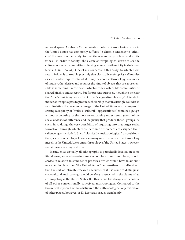national space. As Sherry Ortner astutely notes, anthropological work in the United States has commonly suffered "a chronic tendency to 'ethnicize' the groups under study, to treat them as so many isolated and exotic tribes," in order to satisfy "the classic anthropological desire to see the cultures of these communities as having a certain authenticity in their own terms" (1991, 166–67). One of my concerns in this essay, to which I will return below, is to trouble precisely that classically *anthropological* impulse as such, and to inquire into what it may be about anthropology, as a mode of inquiry, that desires and requires the kinds of objects that are apprehensible as something like "tribes"—which is to say, ostensible communities of shared kinship and ancestry. But for present purposes, it ought to be clear that "the 'ethnicizing' move," in Ortner's suggestive phrase (167), tends to induce anthropologists to produce scholarship that unwittingly colludes in recapitulating the hegemonic image of the United States as an ever-proliferating cacophony of (multi-) "cultural," apparently self-contained *groups,* without accounting for the more encompassing and systemic genesis of the social *relations* of difference and inequality that produce those "groups" as such. In so doing, the very possibility of inquiring into that larger social formation, through which those "ethnic" differences are assigned their salience, gets occluded. Such "classically anthropological" dispositions, then, seem doomed to yield only so many more exercises of anthropology merely *in* the United States. An anthropology *of* the United States, however, remains exasperatingly elusive.

Inasmuch as virtually all ethnography is parochially located, in some literal sense, somewhere—in some kind of place or nexus of places, or otherwise in relation to some set of practices, which would have to amount to something less than "the United States" per se—then it is self-evident that the sort of intimate research encounter that has come to distinguish sociocultural anthropology would be *always* restricted to the claims of an anthropology *in* the United States. But this in fact has always also been true of all other conventionally conceived anthropologies. Compared to the theoretical myopia that has disfigured the anthropological objectification of other places, however, as Di Leonardo argues trenchantly,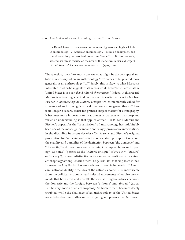the United States . . . is an even more dense and light-consuming black hole in anthropology. . . . American anthropology . . . relies on an implicit, and therefore entirely untheorized, American "home." . . . It thus proceeds, whether its gaze is focused on the near or the far away, in casual disregard of the "America" known to other scholars. . . . (1998, 15–16)

The question, therefore, must concern what might be the conceptual ambitions necessary when an anthropology "in" comes to be posited more generally as an anthropology "of." Surely, this is likewise what Marcus is interested in when he suggests that the task would be to "articulate what the United States is *as a social and cultural phenomenon.*" Indeed, in this regard, Marcus is reiterating a central concern of his earlier work with Michael Fischer in *Anthropology as Cultural Critique,* which memorably called for a renewal of anthropology's critical function and suggested that as "there is no longer a secure, taken-for-granted subject matter for ethnography, it becomes more important to treat domestic patterns with as deep and varied an understanding as that applied abroad" (1986, 140). Marcus and Fischer's appeal for the "repatriation" of anthropology has indubitably been one of the most significant and enduringly provocative interventions in the discipline in recent decades.<sup>2</sup> Yet Marcus and Fischer's original proposition for "repatriation" relied upon a certain presupposition about the stability and durability of the distinction between "the domestic" and "the exotic," and therefore about what might be implied by an anthropology "at home" (posited as the "*cultural* critique" of *one's own* "culture" or "society"), in contradistinction with a more conventionally conceived anthropology among "exotic others" (e.g. 1986, 113, 138; emphases mine). However, as Amy Kaplan has amply demonstrated in her study of "American" national identity, "the idea of the nation as home . . . is inextricable from the political, economic, and cultural movements of empire, movements that both erect and unsettle the ever-shifting boundaries between the domestic and the foreign, between 'at home' and 'abroad'" (2002, 1). The very notion of an anthropology "at home," then, becomes deeply troubled, while the challenge of an anthropology of the United States nonetheless becomes rather more intriguing and provocative. Moreover,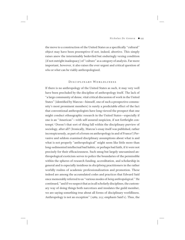the move to a construction of the United States as a specifically "cultural" object may have been preemptive–if not, indeed, abortive. This simply raises anew the interminably bedeviled but enduringly vexing condition (if not outright inadequacy) of "culture" as a category of analysis. Far more important, however, it also raises the ever urgent and critical question of *who* or *what* can be viably anthropologized.

## Disciplinary Worldliness

If there is no anthropology of the United States as such, it may very well have been precluded by the discipline of anthropology itself. The lack of "a large community of dense, vital critical discussion of work in the United States" (identified by Marcus—himself, one of such a prospective community's most prominent members) is surely a predictable effect of the fact that conventional anthropologists have long viewed the prospect that one might conduct ethnographic research in the United States—especially if one is an "American"—with self-assured suspicion, if not forthright contempt.3 Doesn't that sort of thing fall within the disciplinary purview of sociology, after all? (Ironically, Marcus's essay itself was published, rather inconspicuously, as part of a forum on anthropology in and of France!) Pervasive and seldom examined disciplinary assumptions about what is and what is not properly "anthropological" might seem like little more than long-sedimented intellectual bad habits, or perhaps bad faith, if it were not precisely for their efficaciousness. Such smug but largely unexamined anthropological exoticism serves to police the boundaries of the permissible within the spheres of research funding, accreditation, and scholarship in general and is especially insidious in *disciplining* practitioners in the rather worldly realms of academic professionalization and promotion. These indeed are among the accumulated codes and practices that Edward Said once memorably referred to as "various modes of *being anthropological.*" He continued, "and if we suspect that as in all scholarly disciplines, the customary way of doing things both narcotizes and insulates the guild member, we are saying something true about all forms of disciplinary worldliness. Anthropology is not an exception" (1989, 213; emphasis Said's). Thus, the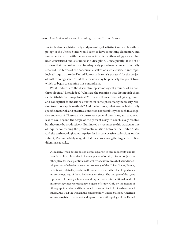veritable absence, historically and presently, of a distinct and viable anthropology of the United States would seem to have something elementary and fundamental to do with the very ways in which anthropology as such has been constituted and sustained as a discipline. Consequently, it is not at all clear that the problem can be adequately posed—let alone satisfactorily resolved—in terms of the conceivable stakes of such a critical "anthropological" inquiry into the United States (in Marcus's phrase) "for the project of anthropology itself." But this tension may be precisely the point from which to begin to examine this conundrum.

What, indeed, are the distinctive epistemological grounds of an "anthropological" knowledge? What are the premises that distinguish them as identifiably "anthropological"? How are these epistemological grounds and conceptual foundations situated in some presumably necessary relation to ethnographic methods? And furthermore, what are the historically specific, material, and practical conditions of possibility for such investigative endeavors? These are of course very general questions, and are, needless to say, beyond the scope of the present essay to conclusively resolve, but they may be productively illuminated by recourse to this particular line of inquiry concerning the problematic relation between the United States and the anthropological enterprise. In his provocative reflections on the subject, Marcus notably suggests that these are among the larger theoretical dilemmas at stake.

Ultimately, when anthropology comes squarely to face modernity and its complex cultural histories in its own places of origin, it faces not just another place for incorporation in its archive of culture areas but a fundamental question of whether a mere anthropology of the United States, France, or Britain is belatedly possible in the same terms as in the older hopes for an anthropology, say, of India, Polynesia, or Africa. The critiques of the 1980s represented for many a fundamental rupture with this traditional mode of anthropology incorporating new objects of study. Only by the fiction of ethnographic study could it continue to consume itself like it had consumed others. And if all the work in the contemporary United States by American anthropologists . . . does not add up to . . . an anthropology of the United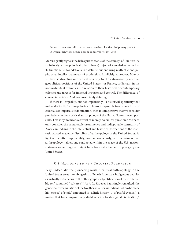States . . . then, after all, in what terms can the collective disciplinary project in which such work occurs now be conceived? (1999, 419)

Marcus gently signals the beleaguered status of the concept of "culture" as a distinctly anthropological (disciplinary) object of knowledge, as well as its functionalist foundations in a definite but enduring myth of ethnography as an intellectual means of production. Implicitly, moreover, Marcus is likewise directing our critical scrutiny to the extravagantly unequal geopolitical positions of the United States—or France, or Britain, in his not inadvertent examples—in relation to their historical or contemporary colonies and targets for imperial intrusion and control. The difference, of course, is decisive. And moreover, truly defining.

If there is—arguably, but not implausibly—a historical specificity that makes distinctly "anthropological" claims inseparable from some form of colonial (or imperialist) domination, then it is imperative that we consider precisely whether a critical anthropology of the United States is even possible. This is by no means a trivial or merely polemical question. One need only consider the remarkable prominence and indisputable centrality of American Indians in the intellectual and historical formations of the institutionalized academic discipline of anthropology in the United States, in light of the utter impossibility, contemporaneously, of conceiving of *that*  anthropology—albeit one conducted within the space of the U.S. nationstate—as something that might have been called an anthropology *of* the United States.

## U.S. Nationalism as a Colonial Formation

Why, indeed, did the pioneering work in cultural anthropology in the United States treat the subjugation of North America's indigenous peoples as virtually extraneous to the ethnographic objectification of their ostensibly self-contained "cultures"? As A. L. Kroeber hauntingly remarked, the genocidal extermination of the Northern California Indians (whom he made his "object" of study) amounted to "a little history . . . of pitiful events," "a matter that has comparatively slight relation to aboriginal civilization,"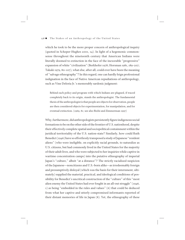which he took to be the more proper concern of anthropological inquiry (quoted in Scheper-Hughes 2001, 14). In light of a hegemonic commonsense throughout the nineteenth century that American Indians were literally doomed to extinction in the face of the inexorable "progressive" expansion of white "civilization" (Berkhofer 1978; Horsman 1981, 189–207; Takaki 1979, 80–107), what else, after all, could ever have been the meaning of "salvage ethnography"? In this regard, one can hardly feign professional indignation in the face of Native American repudiations of anthropology, such as Vine Deloria Jr.'s memorably sardonic judgment:

Behind each policy and program with which Indians are plagued, if traced completely back to its origin, stands the anthropologist. The fundamental thesis of the anthropologist is that people are objects for observation, people are then considered objects for experimentation, for manipulation, and for eventual extinction. (1969, 81; see also Biolsi and Zimmerman 1997)

Why, furthermore, did anthropologists persistently figure indigenous social formations to be on the other side of the frontier of U.S. nationhood, despite their effectively complete spatial and sociopolitical containment within the juridical territoriality of the U.S. nation-state? Similarly, how could Ruth Benedict (1946) have so effortlessly transposed a study of Japanese "resident aliens" (who were ineligible, on explicitly racial grounds, to naturalize as U.S. citizens, but had commonly lived in the United States for the majority of their adult lives, and who were subjected to her inquiries while captive in wartime concentration camps) into the putative ethnography of imperial Japan's "culture," albeit "at a distance"? The strictly racialized suspicion of the Japanese—noncitizens and U.S.-born alike—as irredeemably foreign and presumptively disloyal (which was the basis for their internment, ultimately) supplied the material, practical, and ideological conditions of possibility for Benedict's uncritical construction of the "culture" of this "most alien enemy the United States had ever fought in an all-out struggle" (1946, 1) as being "embedded in the rules and values" (6) that could be deduced from what her captive and utterly compromised informants reported of their distant memories of life in Japan (8). Yet, the ethnography of these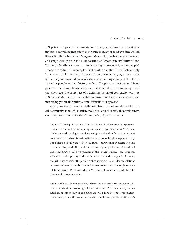U.S. prison camps and their inmates remained, quite frankly, inconceivable in terms of anything that might contribute to an anthropology of the United States. Similarly, how could Margaret Mead—despite her truly extravagant and emphatically heuristic juxtaposition of "American civilization" and "Samoa, a South Sea island . . . inhabited by a brown Polynesian people" whose "primitive," "uncomplex [*sic*], uniform culture" was instructively "not only simpler but very different from our own" (1928, 15–16)—have left, utterly unremarked, Samoa's status as a military colony of the United States? A people without history, indeed. Despite the most valiant liberal postures of anthropological advocacy on behalf of the cultural integrity of the colonized, the brute fact of a defining historical complicity with the U.S. nation-state's truly inexorable colonization of its ever-expansive and increasingly virtual frontiers seems difficult to suppress.4

Again, however, the more subtle point has to do not merely with historical complicity so much as epistemological and theoretical complacency. Consider, for instance, Partha Chatterjee's poignant example:

It is not trivial to point out here that in this whole debate about the possibility of cross-cultural understanding, the scientist is always one of "us": he is a Western anthropologist, modern, enlightened and self-conscious (and it does not matter what his nationality or the color of his skin happens to be). The objects of study are "other" cultures—always non-Western. No one has raised the possibility, and the accompanying problems, of a rational understanding of "us" by a member of the "other" culture—of, let us say, a Kalabari anthropology of the white man. It could be argued, of course, that when we consider the problem of relativism, we consider the relations between cultures in the abstract and it does not matter if the subject-object relation between Western and non-Western cultures is reversed: the relations would be isomorphic.

But it would not: that is precisely why we do not, and probably never will, have a Kalabari anthropology of the white man. And that is why even a Kalabari anthropology of the Kalabari will adopt the same representational form, if not the same substantive conclusions, as the white man's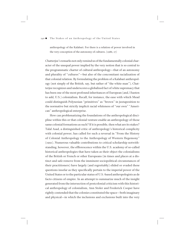anthropology of the Kalabari. For there is a relation of power involved in the very conception of the autonomy of cultures. (1986, 17)

Chatterjee's remarks not only remind us of the fundamentally colonial character of the unequal power implied by the very notion that is so central to the programmatic charter of cultural anthropology—that of an autonomy and plurality of "cultures"—but also of the concomitant racialization of that colonial relation. By formulating the problem of a Kalabari anthropology (not simply of the British, say, but rather of "the white man"), Chatterjee recognizes and underscores a globalized fact of white supremacy that has been one of the most profound inheritances of European (and, I hasten to add, U.S.) colonialism. Recall, for instance, the ease with which Mead could distinguish Polynesian "primitives" as "brown" in juxtaposition to the normative but strictly implicit racial whiteness of "our own" "American" anthropological enterprise.

How can problematizing the foundations of the anthropological discipline within this or that colonial venture enable an anthropology of those same colonial formations as such? If it is possible, then what are its stakes? Talal Asad, a distinguished critic of anthropology's historical complicity with colonial power, has called for such a reversal in "From the History of Colonial Anthropology to the Anthropology of Western Hegemony" (1991). Numerous valuable contributions to critical scholarship notwithstanding, however, the efflorescence within the U.S. academy of so-called historical anthropologies that have taken as their object the colonialisms of the British or French or other Europeans (in times and places at a distinct and safe remove from the imminent sociopolitical circumstances of their practitioners) have largely (and regrettably) elided or evaded these questions insofar as they specifically pertain to the imperial power of the United States or to the particular status of U.S.-based anthropologists as de facto citizens of empire. In an attempt to summarize much of the insight generated from the intersection of postcolonial criticism with this historical anthropology of colonialism, Ann Stoler and Frederick Cooper have rightly contended that the colonies constituted the space—both imaginary and physical—in which the inclusions and exclusions built into the very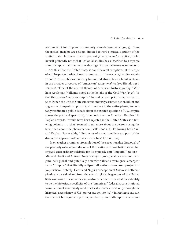notions of citizenship and sovereignty were determined (1997, 3). These theoretical insights are seldom directed toward a critical scrutiny of the United States, however. In an important (if very recent) exception, Stoler herself pointedly notes that "colonial studies has subscribed to a myopic view of empire that sidelines a wide range of imperial forms as anomalous. . . . On this view, the United States is one of several exceptions, at the edges of empire proper rather than an exemplar. . . ." (2006c, 127; see also 2006b; 2006d).5 This stubborn tendency has indeed always been a familiar strain in the broader discourse of "American" *exceptionalism* (see Hietala 1985, 173–214). "One of the central themes of American historiography," William Appleman Williams noted at the height of the Cold War (1955), "is that there is no American Empire." Indeed, at least prior to September 11, 2001 (when the United States unceremoniously assumed a more blunt and aggressively imperialist posture, with respect to the entire planet, and notably reanimated public debate about the explicit question of U.S. empire across the political spectrum), "the notion of the American Empire," in Kaplan's words, "would have been rejected in the United States as a leftwing polemic . . . [that] seemed to say more about the persons using the term than about the phenomenon itself" (2004, 2). Following both Said and Kaplan, Stoler adds, "discourses of exceptionalism are part of the discursive apparatus of empires themselves" (2006c, 140).

In one rather prominent formulation of the exceptionalist disavowal of the precisely *colonial* foundations of U.S. nationalism—albeit one that has enjoyed extraordinary celebrity for its expressly anti-"imperial" gesture— Michael Hardt and Antonio Negri's *Empire* (2000) elaborates a notion of genuinely global and putatively deterritorialized sovereignty, emergent as an "Empire" that literally eclipses all nation-state-based projects of imperialism. Notably, Hardt and Negri's conception of *Empire* is both emphatically disarticulated from the specific global hegemony of the United States *as such* (while nonetheless positively derived from what they identify to be the historical specificity of the "American" federalist constitutional formulation of sovereignty) and practically materialized, only through the historical ascendancy of U.S. power (2000, 160–82).6 In *Multitude* (2004), their adroit but agonistic post-September 11, 2001 attempt to revise and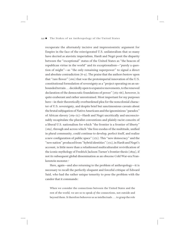recuperate the alternately incisive and impressionistic argument for Empire in the face of the reinvigorated U.S. unilateralism that so many have decried as atavistic imperialism, Hardt and Negri posit the disparity between the "exceptional" status of the United States as "the beacon of republican virtue in the world" and its exceptionalism—"purely a question of might"—as "the only remaining superpower" to signal a direct and absolute contradiction (8–9). The praise that the authors bestow upon that "rare flower" (160) that was the protoimperial innovation of the U.S. constitutional formulation of sovereignty as a "project operating on an unbounded terrain . . . decidedly open to expansive movements, to the renewed declaration of the democratic foundations of power" (165–66), however, is quite exuberant and rather unrestrained. Most important for my purposes here—in their theoretically overburdened plea for the noncolonial character of U.S. sovereignty, and despite brief but sanctimonious caveats about the brutal subjugation of Native Americans and the ignominious "paradox" of African slavery (169–72)—Hardt and Negri uncritically and unconscionably recapitulate the pluralist conventions and plainly racist conceits of a liberal U.S. nationalism for which "the frontier is a frontier of liberty" (169), through and across which "the free exodus of the multitude, unified in plural community, could continue to develop, perfect itself, and realize a new configuration of public space" (172). This "new democracy" and the "new nation" produced from "hybrid identities" (172), in Hardt and Negri's account, is little more than a refashioned multiculturalist revivification of the iconic mythology of Fredrick Jackson Turner's frontier thesis (1893), if not its subsequent global dissemination as an obscene Cold War-era Frankenstein monster.7

Here, again—and also returning to the problem of anthropology—it is necessary to recall the perfectly eloquent and forceful critique of Edward Said, who had the rather unique temerity to pose the problem with the candor that it commands:

When we consider the connections between the United States and the rest of the world, we are so to speak *of* the connections, not outside and beyond them. It therefore behooves us as intellectuals . . . to grasp the role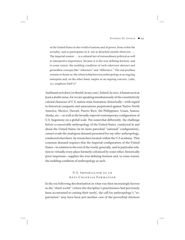of the United States in the world of nations and of power, from *within* the actuality, and as participants in it, not as detached outside observers . . . The imperial contest . . . is a cultural fact of extraordinary political as well as interpretive importance, because it is the true defining horizon, and to some extent, the enabling condition of such otherwise abstract and groundless concepts like "otherness" and "difference." The real problem remains to haunt us: the relationship between anthropology as an ongoing enterprise and, on the other hand, empire as an ongoing concern. (1989, 217; emphases Said's)8

And haunt us it does (or should, in any case). Indeed, by now, it haunts us in at least a *double* sense, for we are speaking simultaneously of the constitutively *colonial* character of U.S. nation-state formation, historically—with regard to historical conquests and annexations perpetrated against Native North America, Mexico, Hawaii, Puerto Rico, the Philippines, Guam, Samoa, Alaska, etc.—as well as the broadly *imperial* contemporary configuration of U.S. hegemony on a global scale. Put somewhat differently, the challenge before a conceivable anthropology of the United States, conducted in and about the United States (in its more parochial "national" configuration), cannot evade the analogous demand presented for *any other* anthropology, conducted elsewhere, by researchers located within the U.S academy. That common demand requires that the imperial configuration of the United States—in relation to the rest of the world, generally, and in particular relation to virtually every place formerly colonized by some other, historically prior imperium—supplies the true defining horizon and, to some extent, the enabling condition of anthropology as such.

## U.S. IMPERIALISM AS AN Anti-Colonial Formation

In the era following decolonization in what was then increasingly known as the "third world" (where the discipline's practitioners had previously been accustomed to cutting their teeth), the call for anthropology's "repatriation" may have been just another case of the proverbial chickens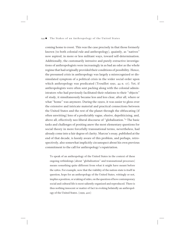coming home to roost. This was the case precisely in that those formerly known (to both colonial rule and anthropology), quaintly, as "natives" now aspired, in more or less militant ways, toward self-determination. Additionally, the customarily intrusive and purely extractive investigations of anthropologists were increasingly in as bad an odor as the whole regime that had originally provided their conditions of possibility. Hence, the presumed crisis in anthropology was largely a misrecognized or dissimulated symptom of a political crisis in the wider social order upon which anthropology was predicated (Trouillot 1991, 44 n. 17). Yet, if anthropologists were often sent packing along with the colonial administrators who had previously facilitated their relations to their "objects" of study, it simultaneously became less and less clear, after all, where or what "home" was anymore. During the 1990s, it was easier to gloss over the extensive and intricate material and practical connections between the United States and the rest of the planet through the obfuscating (if often unwitting) lens of a predictably vague, elusive, depoliticizing, and, above all, effectively neo-liberal discourse of "globalization."9 The basic tasks and challenges of positing anew the most elementary questions for social theory in more forcefully transnational terms, nevertheless, had already come into a fair degree of clarity. Marcus's essay, published at the end of that decade, is keenly aware of this problem, and perhaps, retrospectively, also somewhat implicitly circumspect about his own previous commitment to the call for anthropology's repatriation.

To speak of an anthropology of the United States in the context of these ongoing rethinkings [about "globalization" and transnational processes] means something quite different from what it might have meant before the 1980s. For example, now that the viability of the nation-state is itself in question, hope for an anthropology of the United States, wittingly or not, implies a position, or a taking of sides, on the question of how contemporary social and cultural life is most saliently organized and reproduced. There is thus nothing innocent or matter of fact in evoking belatedly an anthropology of the United States. (1999, 420)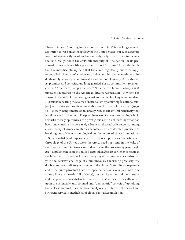There is, indeed, "nothing innocent or matter of fact" in the long-deferred aspiration toward an anthropology of the United States, but such a gesture need not necessarily hearken back nostalgically to a forlorn innocence (naiveté, really) about the erstwhile integrity of "the nation" or its presumed isomorphism with a putative national "culture." It is indubitable that the interdisciplinary field that has come, regrettably but revealingly, to be called "American" studies was indeed established, sometimes quite deliberately, upon epistemologically and methodologically U.S. nationalist premises and conceits, and long guarded a basic commitment to an uncritical "American" exceptionalism.10 Nonetheless, Janice Radway's 1998 presidential address to the American Studies Association—in which she warns of "the risk of functioning as just another technology of nationalism . . . ritually repeating the claims of nationalism by assuming [a national subject] as an autonomous given inevitably worthy of scholarly study" (1999, 12)—is truly symptomatic of an already robust self-critical reflexivity that has flourished in that field. The prominence of Radway's refreshingly lucid remarks merely epitomizes the prestigious zenith achieved by what had been, and continues to be, a truly vibrant intellectual effervescence among a wide array of American studies scholars who are devoted precisely to breaking out of the epistemological confinements of those foundational U.S. nationalist (and imperial chauvinist) presuppositions.<sup>11</sup> A critical anthropology of the United States, therefore, need not—and, in the wake of the creative tumult in American studies during the last 10 or 15 years, *ought not*—duplicate the same misguided steps taken *decades* earlier by scholars in the latter field. Instead, as I have already suggested, we may be confronted with the decisive challenge of simultaneously theorizing precisely this double (and contradictory) character of the United States: its more prosaic and often quite parochial historical specificity as *a mere nation-state* (one among literally a world full of them), but also its rather unique status as a global power whose distinctive recipe for *empire* has historically relied upon the ostensibly anti-colonial and "democratic" conceit of upholding the (at least nominal) national sovereignty of client states in the devout and stringent service, nonetheless, of global capital accumulation.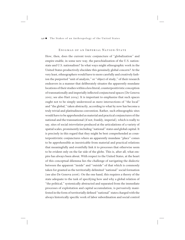## Enigmas of an Imperial Nation-State

How, then, does the current toxic conjuncture of "globalization" and empire enable, in some new way, the parochialization of the U.S. nationstate and U.S. nationalism? In what ways might ethnographic work in the United States productively elucidate this genuinely global concern? At the very least, ethnographers would have to more carefully and creatively fashion the purported "unit of analysis," or "object of study," of their research endeavors in a manner that deliberately situates the apparently mundane locations of their studies within a less literal, counterpositivistic conception of transnationally and imperially inflected conjunctural spaces (De Genova 2005; see also Hart 2004). It is important to emphasize that such spaces ought not to be simply understood as mere intersections of "the local" and "the global," taken abstractly, according to what by now has become a truly trivial and platitudinous convention. Rather, such ethnographic sites would have to be apprehended as material and practical conjunctures of the national and the transnational (if not, frankly, imperial), which is really to say, sites of social *interrelation* produced at the articulations of a variety of spatial scales, prominently including "national" states and global capital. It is precisely in this regard that they might be best comprehended as counterpositivistic conjunctures where an apparently mundane "place" comes to be apprehensible as inextricable from material and practical relations that meaningfully and eventfully link it to processes that otherwise seem to be evident only on the far side of the globe. This is, after all, what empire has always been about. With respect to the United States, at the heart of this conceptual dilemma lies the challenge of navigating the dialectic between the apparent "inside" and "outside" of that which is commonly taken for granted as the territorially delimited "national" social formation (see also De Genova 2006). On the one hand, this requires a theory of the state adequate to the task of specifying how and why a global relation of "the political," systemically abstracted and separated from the immediate processes of exploitation and capital accumulation, is pervasively manifested in the form of territorially defined "national" states charged with the always historically specific work of labor subordination and social control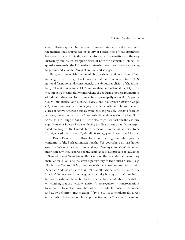(see Holloway 1994). On the other, it necessitates a critical attention to the manifest but suppressed instability or restlessness of that distinction between inside and outside, and therefore an acute sensitivity to the very historicity and historical specificities of how the ostensible "object" in question—namely, the U.S. nation-state—has itself been always a moving target, indeed, a *social relation* of conflict and struggle.

Here, we must revisit the remarkably persistent and pernicious refusal to recognize the history of colonization that has been constitutive of U.S. national formation and, consequently, the ubiquitous elision of the intractably *colonial* dimensions of U.S. nationalism and national identity. How else might we meaningfully comprehend the enduring modern foundations of federal Indian law, for instance, based principally upon U.S. Supreme Court Chief Justice John Marshall's decisions in *Cherokee Nation v. Georgia*  (1831) and *Worcester v. Georgia* (1832), which continue to figure the legal status of Native American tribal sovereignty as precisely *not* that of foreign nations, but rather as that of "domestic dependent nations" (Aleinikoff 2002, 95–150; Ruppel 2003)?12 How else might we fathom the esoteric significance of Puerto Rico's enduring juridical status as an "unincorporated territory" of the United States, determined in the *Insular Cases* to be "foreign in a domestic sense" (Aleinikoff 2002, 74–94; Burnett and Marshall 2001; Rivera Ramos 2001)? How else, moreover, might we interrogate the contention of the Bush administration that U.S. courts have no jurisdiction over the *habeas corpus* petitions of alleged "enemy combatant" detainees imprisoned, without charges or any semblance of due process of law, at the U.S. naval base at Guantánamo Bay, Cuba, on the grounds that the military installation is "outside the sovereign territory of the United States" (e.g. Philibin and Yoo 2001)? My intention with these questions—in accord with Benedict Anderson's claim (1991, 7) that all nationalisms require for the "nation" in question to be imagined as a unity having very definite limits, but necessarily supplemented by Etienne Balibar's contention, in a different context, that the "visible" nation "must regulate its transformations by reference to another, invisible collectivity, which transcends frontiers and is, by definition, transnational" (1991, 61)—is to emphatically direct our attention to the sociopolitical production of the "national" formation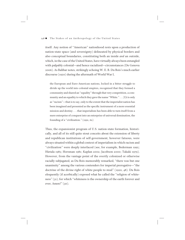itself. Any notion of "American" nationhood rests upon a production of nation-state space (and sovereignty) delineated by physical borders and also conceptual boundaries, constituting both an inside *and* an outside, which, in the case of the United States, have virtually always been entangled with palpably colonial—and hence racialized—circumstances (De Genova 2006). As Balibar notes, strikingly echoing W. E. B. Du Bois's much earlier discourse (1920) during the aftermath of World War I,

the European and Euro-American nations, locked in a bitter struggle to divide up the world into colonial empires, recognized that they formed a community and shared an "equality" through that very competition, a community and an equality to which they gave the name "White." . . . [I]t is only as "racism"—that is to say, only to the extent that the imperialist nation has been imagined and presented as the specific instrument of a more essential mission and destiny . . . that imperialism has been able to turn itself from a mere enterprise of conquest into an enterprise of universal domination, the founding of a "civilization." (1991, 62)

Thus, the expansionist program of U.S. nation-state formation, historically, and all of its still quite stout conceits about the extension of liberty and republican institutions of self-government, however fatuous, were always situated within a global context of imperialism in which racism and "civilization" were deeply interlaced (see, for example, Bederman 1995; Hietala 1985; Horsman 1981; Kaplan 2002; Jacobson 2000; Takaki 1979). However, from the vantage point of the overtly colonized or otherwise racially subjugated, as Du Bois memorably remarked, "there was but one unanimity" among the various contenders for imperial prerogative—"the doctrine of the divine right of white people to steal" (1920, 48). Du Bois eloquently (if acerbically) exposed what he called the "religion of whiteness" (31), for which "whiteness is the ownership of the earth forever and ever, Amen!" (30).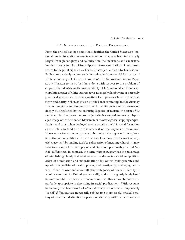## U.S. Nationalism as a Racial Formation

From the critical vantage point that identifies the United States as a "national" social formation whose inside and outside have been intrinsically forged through conquest and colonization, the inclusions and exclusions implied thereby for U.S. citizenship and "American" national identity—to return to the point signaled earlier by Chatterjee, and now by Du Bois and Balibar, respectively—come to be inextricable from a racial formation of white supremacy (De Genova 2005; 2006; De Genova and Ramos-Zayas 2003). I hasten to insist (as I have done with respect to the problem of empire) that identifying the inseparability of U.S. nationalism from a sociopolitical order of white supremacy is no merely flamboyant or narrowly polemical gesture. Rather, it is a matter of scrupulous scholarly precision, rigor, and clarity. Whereas it is an utterly banal commonplace for virtually any commentator to observe that the United States is a social formation deeply distinguished by the enduring legacies of racism, the term *white supremacy* is often presumed to conjure the hackneyed and easily disparaged image of white-hooded Klansmen or atavistic goose-stepping cryptofascists and thus, when deployed to characterize the U.S. social formation as a whole, can tend to provoke alarm if not paroxysms of disavowal. However, *racism* ultimately proves to be a relatively vague and amorphous term that often facilitates the dissipation of its more strict sense (namely, *white* race-ism) by lending itself to a dispersion of meaning whereby it may refer to any and all forms of prejudicial bias about presumably natural "racial" differences. In contrast, the term *white supremacy* has the advantage of establishing plainly that what we are considering is a social and political order of domination and subordination that systemically generates and upholds inequalities of wealth, power, and prestige by privileging racialized whiteness over and above all other categories of "racial" identity. It would seem that the United States readily and extravagantly lends itself to innumerable empirical confirmations that this characterization is perfectly appropriate in describing its racial predicament. With recourse to an analytical framework of *white supremacy,* moreover, all supposedly "racial" *differences* are necessarily subject to a more careful critical scrutiny of how such distinctions operate relationally within an economy of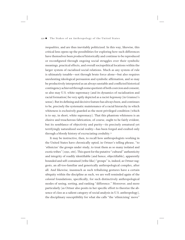*inequalities,* and are thus inevitably politicized. In this way, likewise, this critical lens opens up the possibilities for exploring how such differences have themselves been *produced* historically and continue to be reproduced or reconfigured through ongoing social struggles over their symbolic meanings, practical effects, and overall sociopolitical locations within the larger system of racialized social relations. Much as any system of rule is ultimately tenable—not through brute force alone—but also requires unrelenting ideological persuasion and symbolic affirmation, and so may be productively interpreted as an always unstable and conflicted historical contingency achieved through some quotient of both coercion and consent, so also may U.S. white supremacy (and its dynamics of racialization and racial formation) be very aptly depicted as a racist *hegemony* (in Gramsci's sense). But its defining and decisive feature has always been, and continues to be, precisely the systematic maintenance of a racial hierarchy in which whiteness is exclusively guarded as the most privileged condition (which is to say, in short, white supremacy). That this phantom whiteness is an elusive and treacherous fabrication, of course, ought to be fairly evident, but its semblance of objectivity and purity—its precisely *un*natural yet terrifyingly naturalized social reality—has been forged and exulted only through a bloody history of excruciating credulity.13

It may be instructive, then, to recall how anthropologists working in the United States have chronically opted, in Ortner's telling phrase, "to 'ethnicize' the groups under study, to treat them as so many isolated and exotic tribes" (1991, 166). This quest for the putative "cultural" authenticity and integrity of readily identifiable (and hence, objectifiable), apparently bounded and self-contained (tribe-like) "groups" is, indeed, as Ortner suggests, an all-too-familiar and generically anthropological complex, after all. And likewise, inasmuch as such tribalizing gestures have a certain ubiquity within the discipline as such, we are well reminded again of the *colonial* foundations, specifically, for such distinctively anthropological modes of seeing, sorting, and ranking "difference." Moreover, and more particularly (as Ortner also posits in her specific effort to theorize the absence of *class* as a salient category of social analysis in U.S. anthropology), the disciplinary susceptibility for what she calls "the 'ethnicizing' move"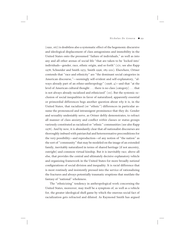(1991, 167) is doubtless also a systematic effect of the hegemonic discursive and ideological displacement of class antagonisms and immobility in the United States onto the presumed "failure of individuals," as well as into any and all other arenas of social life "that are taken to be 'locked into' individuals—gender, race, ethnic origin, and so forth" (171; see also Rapp 1978; Schneider and Smith 1973; Smith 1996, 185–201). Elsewhere, Ortner contends that "race and ethnicity" are "the dominant social categories in American discourse,"—seemingly self-evident and self-explanatory, "always already part of an ethno-anthropology" (1998, 4)—and that "at the level of American cultural thought . . . there is no class [category] . . . that is not always already racialized and ethnicized" (10). But the systemic occlusion of social inequalities in favor of naturalized, apparently essential or primordial differences begs another question about *why* it is, in the United States, that racialized (or "ethnic") differences in particular assume the pronounced and intransigent prominence that they do. Gender and sexuality undeniably serve, as Ortner deftly demonstrates, to refract all manner of class anxiety and conflict *within* classes or status groups variously constituted as racialized or "ethnic" communities (see also Rapp 1978). And by now, it is abundantly clear that *all* nationalist discourses are thoroughly imbued with patriarchal and heternormative preconditions for the very possibility—and reproduction—of any notion of "the nation" as the sort of "community" that may be modeled on the image of an extended family, inevitably naturalized in terms of shared heritage (if not ancestry, outright) and common virtual kinship. But it is inevitably *race,* above all else, that provides the central and ultimately decisive explanatory vehicle and organizing framework in the United States for more broadly *national*  configurations of social division and inequality. It is *racial* difference that is most routinely and insistently pressed into the service of rationalizing the fractures and always potentially traumatic eruptions that mutilate the fantasy of "national" wholeness.

The "ethnicizing" tendency in anthropological work concerning the United States, moreover, may itself be a symptom of, as well as a vehicle for, the greater ideological shell game by which the onerous social fact of racialization gets refracted and diluted. As Raymond Smith has argued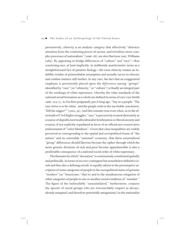persuasively, *ethnicity* is an analytic category that effectively "distracts attention from the continuing power of racism, and trivializes more complex processes of nationalism" (1996, 187; see also Harrison 1995; Williams 1989). By appearing to bridge differences of "culture" *and* "race"—thus construing race, at least implicitly, in stubbornly anachronistic terms as a straightforward fact of putative biology—the term *ethnicity* retains an indelible residue of primordialist assumption and actually serves to obscure and confuse matters still further. In any case, the fact that an exaggerated emphasis is persistently placed upon the *differences* among "groups" identified by "race" (or "ethnicity," or "culture") is finally an integral part of the workings of white supremacy, whereby the value standards of the national social formation as a whole are defined in terms of race (see Smith 1966, 104–5). As Du Bois poignantly put it long ago, "Say to a people: 'The one virtue is to be white,' and the people rush to the inevitable conclusion, 'Kill the nigger!'" (1920, 34). And this remains true even when, as in the aftermath of Civil Rights struggles, "race" is pervasively treated alternately as a source of depoliticized multiculturalist fetishization or liberal anxiety and evasion, if not explicitly repudiated in favor of an official neo-conservative endorsement of "color-blindness". Given that class inequalities are widely perceived as corresponding to the spatial and sociopolitical frame of "the nation" and its ostensibly "national" economy, that these essentialized "group" differences should likewise become the cipher through which the more generic divisions of rich and poor become apprehensible is also a predictable consequence of a national social order of white supremacy.

The thematic by which "the nation" is continuously constituted spatially and politically, in terms of an ever-contingent but nonetheless definitive *inside* and thus also a defining *outside,* is equally salient in the presumptive ascription of some categories of people to the sociopolitical status of genuine "insiders" (as "Americans," that is) and in the simultaneous relegation of other categories of people to one or another social condition of "outsider." The figure of the indissolubly "unassimilated," furthermore, conjures the specter of social groups who are irreconcilably suspect as alwaysalready marginal (and therefore potentially antagonistic) to the nationalist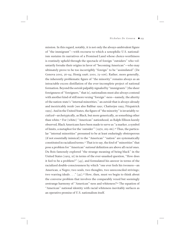mission. In this regard, notably, it is not only the always-ambivalent figure of "the immigrant"—with recourse to which a xenophilic U.S. nationalism sustains its narratives of a Promised Land whose choice-worthiness is routinely upheld through the spectacle of foreign "outsiders" who voluntarily forsake their origins in favor of "becoming American"—who may ultimately prove to be too incorrigibly "foreign" to be "assimilated" (De Genova 2005, 56–94; Honig 1998; 2001, 73–106). Rather, more generally, the inherently problematic figure of "the minority" remains always as an intractable excess distillation of the ever-incomplete project of national formation. Beyond the *outside* palpably signaled by "immigrants" (the sheer foreignness of "foreigners," that is), nationalism must also always contend with another kind of still more vexing "foreign"-ness—namely, the alterity of the nation-state's "internal minorities," an *outside* that is always-already and inextricably *inside* (see also Balibar 1991; Chatterjee 1993; Fitzpatrick 1995). And in the United States, the figure of "the minority" is invariably *racialized*—archetypically, as Black, but more generically, as something other than white.15 For (white) "American" nationhood, as Ralph Ellison keenly observed, Black Americans have been made to serve as "a marker, a symbol of limits, a metaphor for the 'outsider'" (1970, 165–66).16 Thus, the particular "internal minorities" presumed to be at least enduringly obstreperous (if not essentially inimical) to the "American" "nation" are systematically constituted in racialized terms.17 That is to say, the *kind* of "minorities" that pose a problem for "American" *national* definition are above all *racial* ones. Du Bois famously explored "the strange meaning of being black" in the United States (1903, xi) in terms of the ever-unasked question, "How does it feel to be a problem?" (43), and formulated his answer in terms of the racialized double-consciousness by which "one ever feels his twoness—an American, a Negro; two souls, two thoughts, two unreconciled strivings; two warring ideals  $\dots$ " (45).<sup>18</sup> How, then, must we begin to think about the converse problem that involves the comparably vexed but seemingly *unstrange harmony of "American"*-ness and whiteness?<sup>19</sup> The equation of "American" national identity with racial whiteness inevitably surfaces as an operative premise of U.S. nationalism itself.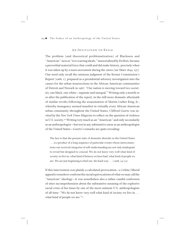## AN INVITATION TO EXILE

The problem (and theoretical problematization) of Blackness and "American"-ness as "two warring ideals," immortalized by Du Bois, became a proverbial material force that could and did make history, precisely when it was taken up by a mass movement during the 1960s (see Marx 1844, 137). One need only recall the ominous judgment of the Kerner Commission's Report (1968, 1), prepared as a presidential advisory investigation into the causes for the urban insurrections in the African American communities of Detroit and Newark in 1967: "Our nation is moving toward two societies, one black, one white—separate and unequal." Writing only a month or so after the publication of the report, in the still more dramatic aftermath of similar revolts following the assassination of Martin Luther King, Jr., whereby insurgency seemed manifest in virtually every African American urban community throughout the United States, Clifford Geertz was invited by the *New York Times Magazine* to reflect on the question of violence in U.S. society.20 Writing very much as an "American" and only secondarily as an anthropologist—but not in any substantive sense as an anthropologist of the United States—Geertz's remarks are quite revealing:

The fact is that the present state of domestic disorder in the United States . . . is a product of a long sequence of particular events whose interconnections our received categories of self-understanding are not only inadequate to reveal but designed to conceal. We do not know very well what kind of society we live in, what kind of history we have had, what kind of people we are. We are just beginning to find out, the hard way . . . (1968, 24–25)

If this intervention was plainly a calculated provocation—a (white) liberal appeal to somehow confront the racial equivocations of what we may call the "American" ideology—it was nonetheless also a rather candid confession of utter incomprehension about the substantive meaning of the explosive racial crisis of his times by one of the most eminent U.S. anthropologists of all time: "We do not know very well what kind of society we live in . . . what kind of people we are."<sup>21</sup>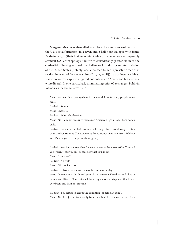Margaret Mead was also called to explore the significance of racism for the U.S. social formation, in a seven-and-a-half hour dialogue with James Baldwin in 1970 (their first encounter). Mead, of course, was a comparably eminent U.S. anthropologist, but with considerably greater claim to the credential of having engaged the challenge of producing an interpretation of the United States (notably, one addressed to her expressly "American" readers in terms of "our own culture" [1942, xxvii]). In this instance, Mead was more or less explicitly figured not only as an "American" but also as a white liberal. In one particularly illuminating series of exchanges, Baldwin introduces the theme of "exile."

Mead: You see, I can go anywhere in the world. I can take any people in my arms.

Baldwin: *You* can!

Mead: I have. . . .

Baldwin: We are both exiles.

Mead: No, I am not an exile when as an American I go abroad. I am not an exile.

Baldwin: I am an exile. But I was an exile long before I went away. . . . My country drove me out. The Americans drove me out of my country. (Baldwin and Mead 1992, 202; emphasis in original).

Baldwin: Yes, but you see, *there is an area where we both were exiled.* You said you weren't, but you are, because of what you know.

Mead: I am what?

Baldwin: An exile—

Mead: Oh, no, I am not.

Baldwin: —from the mainstream of life in this country.

Mead: I am not an exile. I am absolutely not an exile. I live here and I live in Samoa and I live in New Guinea. I live everywhere on this planet that I have ever been, and I am not an exile.

. . .

Baldwin: You refuse to accept the condition [of being an exile]. Mead: No. It is just not—it really isn't meaningful to me to say that. I am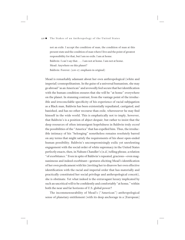not an exile. I accept the condition of man, the condition of man at this present state and the condition of man where I live and the point of greatest responsibility for that, but I am no exile. I am at home. Baldwin: I can't say that. . . . I am not at home. I am not at home. Mead: Anywhere on this planet? Baldwin: Forever. (216–17; emphasis in original)

Mead is remarkably adamant about her own anthropological (white and imperial) cosmopolitanism. In the guise of a universal humanism, she may go abroad "as an American" and avowedly feel secure that her identification with the human condition ensures that she will be "at home" everywhere on the planet. In stunning contrast, from the vantage point of the irreducible and irreconcilable specificity of his experience of racial subjugation as a Black man, Baldwin has been existentially repudiated, castigated, and banished, and has no other recourse than exile, wheresoever he may find himself in the wide world. This is emphatically not to imply, however, that Baldwin's is a position of abject despair, but rather to insist that the deep resources of often intransigent hopefulness in Baldwin truly *exceed* the possibilities of the "America" that has expelled him. Thus, the irreducible intimacy of his "belonging" nonetheless remains resolutely barred on any terms that might satisfy the requirements of his sheer open-ended human possibility. Baldwin's uncompromisingly exilic yet unrelenting engagement with the social order of white supremacy in the United States perfectly enacts, then, in Nahum Chandler's (n.d.) telling phrase, a relation "of exorbitance." Even in spite of Baldwin's repeated, gracious—even magnanimous and indeed exorbitant—gestures eliciting Mead's identification of her own predicament with his (inviting her to disavow her own effective identification with the racial and imperial order that has materially and practically constituted her social privilege and anthropological conceit), she is obstinate. Yet what indeed is the extravagant luxury implicated by such an uncritical will to be confidently and comfortably "at home," within both the near and far horizons of U.S. global power?

The incommensurability of Mead's ("American") anthropological sense of planetary entitlement (with its deep anchorage in a [European]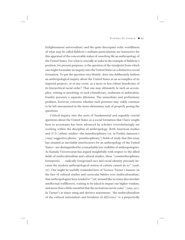Enlightenment universalism) and the quite discrepant exilic worldliness of what may be called Baldwin's militant particularism are instructive for this appraisal of the conceivable stakes of *something like* an anthropology of the United States. For what is crucially at stake in the example of Baldwin's position, for present purposes, is the question of the *standpoint* from which one might formulate an inquiry into the United States as a distinctive social formation. To put the question very bluntly: does one deliberately fashion an anthropological inquiry about the United States as an accomplice of its imperial projects, or in any event, as a more or less robust beneficiary of its hierarchical racial order? That one may ultimately *be* such an accomplice, witting or unwitting, or such a beneficiary, exuberant or ambivalent, frankly presents a separate dilemma. The immediate and preliminary problem, however, concerns whether such premises may viably continue to be left unexamined in the more elementary task of properly posing the questions.

Critical inquiry into the sorts of fundamental and arguably crucial questions about the United States as a social formation that I have sought here to accentuate has been advanced by scholars overwhelmingly *not* working within the discipline of anthropology. Both American studies and (U.S.) ethnic studies—the interdisciplinary (or, in Fredric Jameson's [1993] suggestive phrase, "postdisciplinary") fields of study that this essay has situated as inevitable interlocutors for an anthropology of the United States—are distinguished by a remarkably low visibility of anthropologists. As Kamala Visweswaran has argued insightfully with respect to the allied fields of multiculturalism and cultural studies, these "counterdisciplinary formations . . . radically foreground race and racial identity precisely because the modern anthropological notion of culture cannot do so" (1998, 70). One might be usefully reminded here of Terence Turner's lament (in the face of cultural studies and curricular battles over multiculturalism) that anthropologists have tended to "[sit] around like so many disconsolate intellectual wallflowers, waiting to be asked to impart our higher wisdom, and more than a little resentful that the invitations never come" (1993, 411). In Turner's at times smug and derisive assessment, "the multiculturalism of the cultural nationalists and fetishists of *difference*" is a purportedly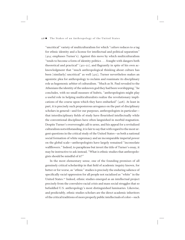"uncritical" variety of multiculturalism for which "*culture* reduces to a tag for ethnic identity and a license for intellectual and political separatism" (414; emphases Turner's). Against this move by which multiculturalism "tends to become a form of identity politics . . . fraught with dangers both theoretical and practical" (411–21), and flagrantly in spite of his own acknowledgment that "much anthropological thinking about culture has been [similarly] uncritical" as well (415), Turner nevertheless makes an agonistic plea for anthropology to reclaim and reanimate its disciplinary role as hegemonic arbiter of culturalism. "Much as St. Paul revealed to the Athenians the identity of the unknown god they had been worshipping," he concludes, with no small measure of hubris, "anthropologists might play a useful role in helping multiculturalists realize the revolutionary implications of the course upon which they have embarked" (428). At least in part, it is precisely such preposterous arrogance on the part of disciplinary scholars in general—and for our purposes, anthropologists in particular that interdisciplinary fields of study have flourished intellectually while the conventional disciplines have often languished in morbid stagnation. Despite Turner's overwrought call to arms, and his appeal for a revitalized culturalism notwithstanding, it is fair to say that with regard to the most urgent questions in the critical study of the United States—as both a national social formation of white supremacy and an incomparable imperial power on the global scale—anthropologists have largely remained "inconsolate wallflowers." Indeed, to paraphrase but invert the title of Turner's essay, it may be instructive to ask instead, "What is ethnic studies that anthropologists should be mindful of it?"

In the most elementary sense, one of the founding premises of all genuinely critical scholarship in that field of academic inquiry known, for better or for worse, as "ethnic" studies is precisely the enduring salience of specifically *racial* oppression for all people not racialized as "white" in the United States.22 Indeed, ethnic studies emerged as an intellectual project precisely from the convulsive racial crisis and mass social struggles that so befuddled U.S. anthropology's most distinguished luminaries. Likewise, and predictably, ethnic studies scholars are the direct academic inheritors of the critical traditions of more properly public intellectuals of color—such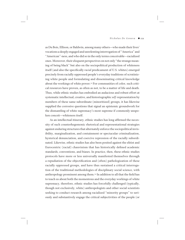as Du Bois, Ellison, or Baldwin, among many others—who made their lives' vocations a deeply engaged and unrelenting interrogation of "America" and "American"-ness, and who did so in the only terms conceivable—racialized ones. Moreover, their eloquent perspectives on not only "the strange meaning of being black" but also on the sociopolitical production of whiteness itself (and also the specifically *racial* predicament of U.S. whites) emerged precisely from racially oppressed people's everyday traditions of scrutinizing white people and formulating and disseminating critical knowledge about the workings of white power.<sup>23</sup> For communities of color, such critical resources have proven, as often as not, to be a matter of life and death. Thus, while ethnic studies has embodied an audacious and robust effort at systematic intellectual, creative, and historiographic *self*-representation by members of these same subordinate (minoritized) groups, it has likewise supplied the corrosive questions that signal an epistemic groundwork for the dismantling of white supremacy's most supreme if commonly unspoken conceit—whiteness itself.

As an intellectual itinerary, ethnic studies has long affirmed the necessity of such counterhegemonic rhetorical and representational strategies against enduring structures that alternately enforce the sociopolitical invisibility, marginalization, and containment or spectacular criminalization, hysterical denunciation, and coercive repression of the racially subordinated. Likewise, ethnic studies has also been posited against the elitist and Eurocentric (racial) chauvinism that has historically defined academic standards, conventions, and biases. In practice, then, these ethnic studies protocols have more or less universally manifested themselves through a repudiation of the objectification and (often) pathologization of these racially oppressed groups, and have thus sustained a critical interrogation of the traditional methodologies of disciplinary social science, with anthropology prominent among them.24 In addition to all that the field has to teach us about both the momentous and the everyday workings of white supremacy, therefore, ethnic studies has forcefully challenged (typically, though not exclusively, white) anthropologists and other social scientists seeking to conduct research among racialized "minority groups" to seriously and substantively engage the critical subjectivities of the people (or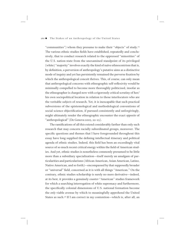"communities") whom they presume to make their "objects" of study.24 The various ethnic studies fields have established, repeatedly and conclusively, that to conduct research related to the oppressed "minorities" of the U.S. nation-state from the unexamined standpoint of its privileged (white) "majority" involves exactly the kind of naïve ethnocentrism that is, by definition, a perversion of anthropology's putative aims as a distinctive mode of inquiry and yet has persistently remained the perverse fixation by which the anthropological conceit thrives. This, of course, can only mean that anthropological concerns with ethnographic self-reflexivity would be minimally compelled to become more thoroughly politicized, insofar as the ethnographer is charged now with a rigorously critical scrutiny of her/ his own sociopolitical location in relation to those interlocutors who are the veritable *subjects* of research. Yet, it is inescapable that such practical subversions of the epistemological and methodological conventions of social science objectification, if pursued consistently and unforgivingly, might ultimately render the ethnographic encounter the exact *opposite* of "anthropological" (De Genova 2005, 22–25).

The ramifications of all this extend considerably farther than only such research that may concern racially subordinated groups, moreover. The specific questions and themes that I have foregrounded throughout this essay have long supplied the defining intellectual itinerary and political agenda of ethnic studies. Indeed, this field has been an exceedingly vital source of so much recent critical energy within the field of American studies. And yet, ethnic studies is nonetheless commonly presumed to be little more than a subsidiary specialization—itself merely an amalgam of particularities and particularisms (African American, Asian American, Latino, Native American, and so forth)—encompassed by that supposedly broader or "universal" field, concerned as it is with all things "American." On the contrary, ethnic studies scholarship is surely no mere derivative—indeed, at its best, it provides a genuinely *counter*-"American" studies framework for which a searching interrogation of white supremacy and furthermore, the specifically colonial dimensions of U.S. national formation become the *only* viable avenue by which to meaningfully apprehend the United States as such.26 If I am correct in my contention—which is, after all, an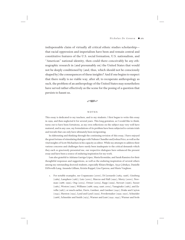indispensable claim of virtually all critical ethnic studies scholarship that racial oppression and imperialism have been and remain central and constitutive features of the U.S. social formation, U.S. nationalism, and "American" national identity, then could there conceivably be *any* ethnographic research in (and presumably on) the United States that would not be deeply conditioned by (and, thus, which should not be consciously shaped by) the consequences of these insights? And if one begins to suspect that there really is no viable way, after all, to recuperate anthropology as such, the problem of an anthropology of the United States may nonetheless have served rather effectively as the scene for the posing of a question that persists to haunt us.

**CHAMES** 

#### notes

This essay is dedicated to my teachers, and to my students. I first began to write this essay in 1999, and then neglected it for several years. This long gestation, as I would like to think, turns out to have been fortuitous, as my own reflections on the subject may very well have matured, and in any case, my formulations of its problem have been subjected to certain trials and travails that can only have ultimately been invigorating.

In elaborating and thinking through the continuing revision of this essay, I have enjoyed the great fortune of stimulating dialogue with Nahum Chandler and Joshua Price, as well as the vital insights of Scott Michaelsen in his capacity as editor. While my attempts to address their various concerns and challenges have surely been inadequate to the critical demands which they each so graciously presented me, our respective dialogues have enhanced the present essay and have been a source of enduring inspiration for my work.

I am also grateful to Adriana Garriga-López, Maria Kromidas, and Sarah Ramírez for their thoughtful responses and suggestions, as well as the enduring inspiration of several others among my outstanding doctoral students, especially Khiara Bridges, Ayça Çubukçu, Danielle DiNovelli-Lang, Amanda Gilliam, Kristin Ruppel, Lisa Uperesa, and Marie Varghese.

 1. For notable examples, see Crapanzano (2000), Di Leonardo (1984; 1998), Ginsburg (1989), Lamphere (1987), Lutz (2001), Marcus and Hall (1992), Merry (2000), Newman (1988; 1999), Ong (2003), Ortner (2003), Rapp (1999), Stewart (1996), Susser (1982), Weston (1991), Williams (1988; 1994; 1996; 2002), Yanagisako (1985), and Zavella (1987); or much earlier, Davis, Gardner, and Gardner (1941), Drake and Cayton (1945), Hurston (1935), Lynd and Lynd (1929), Powdermaker (1939; 1950), Schneider (1968), Schneider and Smith (1973), Warner and Lunt (1941; 1942), Warner and Srole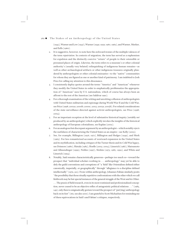(1945), Warner and Low (1947), Warner (1949; 1959; 1961; 1962), and Warner, Meeker, and Eells (1960).

- 2. It is suggestive, however, to note here the awkward ironies of the multiple valences of the term *repatriation.* In contexts of migration, the term has served as a euphemism for expulsion and the distinctly coercive "return" of people to their ostensible or presumed places of origin. Likewise, the term refers to a museum's or other colonial authority's (usually very belated) relinquishing of indigenous human remains—as well as other archaeological artifacts or other indigenous treasures originally plundered by anthropologists or other colonial emissaries—to the "native" communities for whom they are figured as one or another kind of patrimony. I am indebted to Josh Price for calling my attention to this dissonance.
- 3. I consistently deploy quotes around the terms "America" and "American" whenever they modify the United States in order to emphatically problematize the appropriation of "American"-ness by U.S. nationalism, which of course has always been an affront to the rest of the Americas (see Saldívar 1991).
- 4. For a thorough examination of the witting and unwitting collusion of anthropologists with United States militarism and espionage during World War II and the Cold War, see Price (1998; 2002a; 2000b; 2000c; 2003; 2005a; 2005b). For related considerations of the state surveillance directed against activist anthropologists, see Price (1998; 2004).
- 5. For an important exception at the level of substantive historical inquiry (notably *not* produced by an anthropologist) which explicitly invokes the insights of the historical anthropology of European colonialisms, see Kaplan (2002).
- 6. For an analogous but discrepant argument by an anthropologist—which notably *rejects* the usefulness of characterizing the United States as an empire—see Kelly (2003).
- 7. See, for example, Billington (1956; 1971), Billington and Hedges (1949), and Merk (1963). For less romanticized accounts of westward expansion in the United States and its mythification, including critiques of the Turner thesis and its Cold War legacy, see Drinnon (1980), Hietala (1985), Hoefle (2003; 2004), Limerick (1987), Matsumoto and Allmendinger (1999), Nobles (1997), Slotkin (1973; 1985; 1992), and White and Limerick (1994).
- 8. Notably, Said remains characteristically generous—perhaps too much so—toward the prospect that "individual scholars working in . . . anthropology" may yet be able to defy the guild conventions and corruptions of "a 'field' like Orientalism defined either canonically, imperially, or geographically" through "allegiance to a discipline defined intellectually" (1979, 325). From within anthropology, Johannes Fabian similarly posits "the possibility that those ritually repetitive confrontations with the other which we call fieldwork may be but special instances of the general struggle of the West and its Other. . . . The praxis of field research, even in its most routinized and professionalized concep-

tion, never ceased to be an objective reflex of antagonistic political relations . . ." (1983, 149), only then to enigmatically gesture toward the prospect of "put[ting] anthropology back on its feet" (165; see also 2001). I am grateful to Scott Michaelsen for reminding me of these equivocations in Said's and Fabian's critiques, respectively.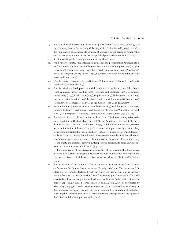- 9. For critical problematizations of the term "globalization," see Harvey (2000, 53–72) and Holloway (1994). For an insightful critique of U.S.-dominated "globalization" as the culmination of a century-old strategy of avowedly depoliticized hegemony that emphasizes geoeconomic rather than geopolitical prerogatives, see Smith (2005).
- 10. See, for a distinguished example, comments by Marx (1999).
- 11. For a variety of instructive interventions intended to problematize American studies from within the field, see Buell (1998), Desmond and Domínguez (1996), Kaplan (1993; 2002), Kaplan and Pease (1993), Lowe (1998), Mackenthun (1996), Pease (1990), Pease and Wiegman (2002), Porter (1994), Rowe (1998; 2000a; 2000b), Saldívar (1991; 1997), and Singh (1998).
- 12. *Cherokee Nation v. Georgia* (1831), in Getches, Wilkinson, and Williams, Jr. (1998, 106); see chapter 3 in Ruppel (2003).
- 13. For historical scholarship on the social production of whiteness, see Allen (1994; 1997), Almaguer (1994), Brodkin (1998), Delgado and Stefancic (1997), Domínguez (1986), Foley (1997), Fredrickson (1987), Guglielmo (2003), Hale (1998), Harris (1993), Horsman (1981), Ignatiev (1995), Jacobson (1998; 2000), Jordan (1968), López (1995), Nelson (1998), Roediger (1991; 1994; 2002), Saxton (1990), and Takaki (1979).
- 14. See Bonilla-Silva (2001), Doane and Bonilla-Silva (2003), Goldberg (2002, 200–238), Gooding-Williams (1993), Gubar (1997), Lipsitz (1998), Omi and Winant (1994), Singh (2004), Steinberg (1995), Steinberg (1997), Wellman (1997), Winant (1994, 57–68).
- 15. For reasons of racial politics, I capitalize "Black" and "Blackness" as they refer to the social condition and historical specificity of African Americans, whereas I deliberately do not capitalize "white" or "whiteness." In 1953, Ralph Ellison, for instance, referred to the capitalization of the term "Negro" as "one of the important early victories of my own people in their fight for self-definition" (1964, 253). In contrast, as David Roediger explains, "it is not merely that whiteness is oppressive and false, it is that whiteness is *nothing but* oppressive and false. . . . Whiteness describes not a culture but precisely . . . the empty and therefore terrifying attempt to build an identity based on what one isn't and on whom one can hold back" (1994, 13).

 For a discussion of the divergent rationalities of racialization that have served historically to sustain the hegemonic white/Black binary, and which render problematic the racialization of all those racialized as neither white nor Black, see De Genova (2006).

 16. For discussions of the theme of African American disqualification from "American"ness, see De Genova (2005, 167–209), Hellwig (1982), and Morrison (1994). In addition, for related reflections by African American intellectuals on the intrinsic relation between "Americanization" for (European-origin) "immigrants" and the effectively obligatory denigration of Blackness, see Baldwin (1984; 1998, 178–79), Du Bois (1920; 1969,51), Ellison (1970; 1998, 166), and Malcolm X (1965), as reported by Alex Haley (1973, 399); see also Roediger (1998, 18–21); for a related historical essay on this theme, see Roediger (1994, 181–98). For an important consideration of the history of the legal disenfranchisement of African Americans through recourse to figures of the "alien" and the "foreign," see Wald (1993).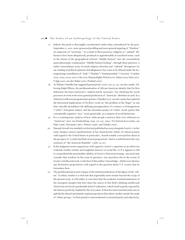- 17. Indeed, this point is thoroughly corroborated (rather than contradicted) by the post-September 11, 2001, state-sponsored profiling and more general targeting of "Muslims" on suspicions of "terrorism." As a result of these practices, religious or "cultural" differences have been ubiquitously produced as apprehensible in racialized terms, such as the elision of the geographical referent "Middle Eastern" into the essentialized quasi-phenotypic condensation "Middle Eastern-looking"; through these practices, a rather extraordinary array of actual religious diversity and "cultural" divergences (to say nothing of political opinions and allegiances) has come to be effaced under the homogenizing constellation of "Arab"/"Muslim"/"fundamentalist"/"terrorist" (Cainkar 2002; 2003; 2004; 2005; Cole 2003; Human Rights Watch 2002; Maira 2004; Saito 2001; Volpp 2002; see also Naber 2000; Prashad 2000).
- 18. As Nahum Chandler has suggested persuasively (2000, 250–51, 255; see also 1996b), following Ralph Ellison, the problematization of African American identity that Du Bois elaborates becomes instructive—indeed utterly necessary—for clarifying the social processes at work in the more general production of "American" identities as such. In a related yet still more programmatic gesture, Chandler (n.d.; see also 1996a) has explored the theoretical implications of Du Bois's work on "the problem of the Negro" as one that critically destabilizes the defining presupposition of a unitary or homogeneous ("white") European subject, and the attendant project of (white, racial) purity that conceptually organizes "race," more generically, as a category of social distinction.
- 19. For a contemporary analysis of how white people construct their own whiteness as "American"-ness, see Frankenberg (1993, 137–235; 1994). For historical accounts, see Hale (1998), Horsman (1981), Nelson (1998), and Takaki (1979).
- 20. Hannah Arendt was similarly invited and published an essay alongside Geertz's; in her essay (despite various manifestations of her characteristic failure of critical acumen with regard to the United States in particular), Arendt notably conveyed her alarm at the prospect of "a white backlash of such proportions" that it would threaten the very existence of "the American Republic" (1968, 24–25).
- 21. If this judgment seems ungenerous with regard to Geertz's capacities as an otherwise evidently erudite scholar and insightful observer of social life, or if it appears to fail to comprehend the presumable subtlety of Geertz's rhetorical strategy, one need only consider that nowhere in the essay in question—nor anywhere else in the extent of Geertz's intellectual work, to the best of this author's knowledge—did he ever advance any declarative propositions with regard to the question about U.S. society that he formulates here.
- 22. The problematization and critique of the institutionalization of the figure of the "ethnic" in ethnic studies is a vital task that regrettably must remain beyond the scope of the present essay; it will suffice to note here that the academic institutionalization of the insurgent energies that have been the source of this field's defining intellectual charter has involved a predictable kind of reification, which itself is partly exposed by the fatuous positivity implied by the very name. It then becomes treacherously easy to uphold the absurd and plainly stupid proposition that ethnic studies entails the study of "ethnic groups," in their putative transcendental or essential purity and objectivity,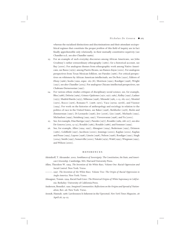whereas the racialized distinctions and discriminations and their attendant sociopolitical regimes that constitute the proper *problem* of this field of inquiry are in fact finally apprehensible only *relationally,* in their mutually constitutive *negativity* (see Chandler n.d.; see also Chandler 1996a).

- 23. For an example of such everyday discourses among African Americans, see John Gwaltney's rather extraordinary ethnography (1980); for a historical account, see Bay (2000). For analogous themes from ethnographic work among Native Americans, see Basso (1979); among Puerto Ricans, see Ramos-Zayas (2001). For analogous perspectives from Texas Mexican folklore, see Paredes (1966). For critical perspectives on whiteness by African American intellectuals, see Du Bois (1920), Editors of *Ebony* (1966), hooks (1992, espec. 165–78), Morrison (1992), Roediger (1998), Wright (1957), see also Chandler (2003). For analogous Chicano intellectual perspectives, see Chabram-Dernersesian (1997).
- 24. For various ethnic studies critiques of disciplinary social science, see, for example, Blea (1988), Deloria (1969), Gómez-Quiñones (1971; 1977; 1982), Kelley (1997), Ladner (1973), Madrid-Barela (1973), Mihesua (1998), Mirandé (1985, 1–13, 185–221), Montiel (1970), Rocco (1976), Romano-V. (1968; 1970), Vaca (1970a; 1970b), and Vizenor (1994). For work on the histories of anthropology and sociology in relation to the politics of race in the United States, see Baker (1998), Berkhofer (1978), Biolsi and Zimmerman (1997), Di Leonardo (1998), Jew (2006), Liss (1998), Michaels (1995), Michaelsen (1999), Steinberg (1995; 1997), Visweswaran (1998), and Yu (2001).
- 25. See, for example, Díaz Barriga (1997), Paredes (1977), Rosaldo (1989, 168–217), see also De Genova (2005, 13–55), Rosaldo (1985), Rosaldo (1986), and Sommer (1999).
- 26. See, for example, Allen (1994; 1997), Almaguer (1994), Bederman (1995), Drinnon (1980), Goldfield (1997), Jacobson (2000), Jennings (2000), Kaplan (2002), Kaplan and Pease (1993), Lepore (1998), Limón (1998), Nelson (1998), Roediger (1991), Singh (2004), Smith (1997), Somerville (2000), Takaki (1979), Wald (1995), Wiegman (1995), and Wilson (2000).

#### references

- Aleinikoff, T. Alexander. 2002. *Semblances of Sovereignty: The Constitution, the State, and American Citizenship*. Cambridge, MA: Harvard University Press.
- Allen, Theodore W. 1994. *The Invention of the White Race, Volume One: Racial Oppression and Social Control*. New York: Verso.
- ———. 1997. *The Invention of the White Race, Volume Two: The Origin of Racial Oppression in Anglo-America*. New York: Verso.
- Almaguer, Tomás. 1994. *Racial Fault Lines: The Historical Origins of White Supremacy in California*. Berkeley: University of California Press.
- Anderson, Benedict. 1991. *Imagined Communities: Reflections on the Origins and Spread of Nationalism*, Rev. ed. New York: Verso.
- Arendt, Hannah. 1968. Lawlessness Is Inherent in the Uprooted. *New York Times Magazine,* 28 April 28, 24–25.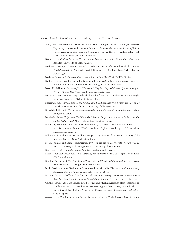- Asad, Talal. 1991. From the History of Colonial Anthropology to the Anthropology of Western Hegemony. Afterword in *Colonial Situations: Essays on the Contextualization of Ethnographic Knowledge,* ed.George W. Stocking, Jr., 314–24. History of Anthropology, vol. 7. Madison: University of Wisconsin Press.
- Baker, Lee. 1998. *From Savage to Negro: Anthropology and the Construction of Race, 1896–1954*. Berkeley: University of California Press.
- Baldwin, James. 1984. On Being "White" . . . and Other Lies. In *Black on White: Black Writers on What It Means to Be White,* ed. David R. Roediger, 177–80. Repr., New York: Schocken Books, 1998.
- Baldwin, James; and Margaret Mead. 1992. *A Rap on Race*. New York: Dell Publishing.
- Balibar, Etienne. 1991. Racism and Nationalism. In *Race, Nation, Class: Ambiguous Identities,* by Etienne Balibar and Immanuel Wallerstein, 37–67. New York: Verso.
- Basso, Keith H. 1979. *Portraits of "the Whiteman": Linguistic Play and Cultural Symbols among the Western Apache*. New York: Cambridge University Press.
- Bay, Mia. 2000. *The White Image in the Black Mind: African-American Ideas about White People, 1830–1925*. New York: Oxford University Press.
- Bederman, Gail. 1995. *Manliness and Civilization: A Cultural History of Gender and Race in the United States, 1880–1917*. Chicago: University of Chicago Press.
- Benedict, Ruth. 1946. *The Chrysanthemum and the Sword: Patterns of Japanese Culture*. Boston: Houghton Mifflin.
- Berkhofer, Robert F., Jr. 1978. *The White Man's Indian: Images of the American Indian from Columbus to the Present*. New York: Vintage/Random House.
- Billington, Ray Allen. 1956. *The Far Western Frontier, 1830–1860*. New York: Macmillan.
- ———. 1971. *The American Frontier Thesis: Attacks and Defenses*. Washington, DC: American Historical Association.
- Billington, Ray Allen; and James Blaine Hedges. 1949. *Westward Expansion: A History of the American Frontier*. New York: Macmillan.
- Biolsi, Thomas; and Larry J. Zimmerman. 1997. *Indians and Anthropologists: Vine Deloria, Jr., and the Critique of Anthropology*. Tucson: University of Arizona Press.
- Blea, Irene I. 1988. *Toward a Chicano Social Science*. New York: Praeger.
- Bonilla-Silva, Eduardo. 2001. *White Supremacy and Racism in the Post-Civil Rights Era*. Boulder, CO: Lynne Rienner.
- Brodkin, Karen. 1998. *How Jews Became White Folks and What That Says About Race in America.* New Brunswick, NJ: Rutgers University Press.
- Buell, Frederick. 1998. Nationalist Postnationalism: Globalist Discourse in Contemporary American Culture. *American Quarterly* 50, no. 3: 548–91.
- Burnett, Christina Duffy; and Burke Marshall, eds. 2001. *Foreign in a Domestic Sense: Puerto Rico, American Expansion, and the Constitution*. Durham, NC: Duke University Press.
- Cainkar, Louise. 2002. No Longer Invisible: Arab and Muslim Exclusion after September 11. *Middle East Report,* no. 224. *http://www.merip.org/mer/mer224/224\_cainkar.html*.
- ———. 2003. Special Registration: A Fervor for Muslims. *Journal of Islamic Law and Culture* 7, no. 2; 73–101.
	- ———. 2004. The Impact of the September 11 Attacks and Their Aftermath on Arab and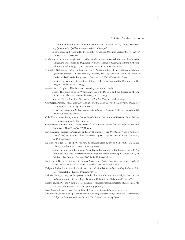Muslim Communities in the United States. *GSC Quarterly,* no. 13. *http://www.ssrc. org/programs/gsc/publications/quarterly13/cainkar.pdf*.

- ———. 2005. Space and Place in the Metropolis: Arabs and Muslims Seeking Safety. *City & Society* 17, no. 2: 181–209.
- Chabram-Dernersesian, Angie. 1997. On the Social Construction of Whiteness within Selected Chicana/o Discourses. In *Displacing Whiteness: Essays in Social and Cultural Criticism,*  ed. Ruth Frankenberg, 107–64. Durham, NC: Duke University Press.
- Chandler, Nahum D. 1996a. The Figure of the X: An Elaboration of the Du Boisian Autobiographical Example. In *Displacement, Diaspora, and Geographies of Identity*, ed. Smadar Lavie and Ted Swedenburg, 235–72. Durham, NC: Duke University Press.
- ———. 1996b. The Economy of Desedimentation: W. E. B. Du Bois and the Discourses of the Negro. *Callaloo* 19, no. 1: 78–93.
- ———. 2000. Originary Displacement. *boundary 2* 27, no. 3: 249–86.
- ———. 2003. The Souls of an Ex-White Man: W. E. B. Du Bois and the Biography of John Brown. *CR: The New Centennial Review* 3, no. 1: 179–95.
- ———. n.d. *X: The Problem of the Negro as a Problem for Thought*. Forthcoming.
- Chatterjee, Partha. 1986. *Nationalist Thought and the Colonial World: A Derivative Discourse?* Minneapolis: University of Minnesota.
- ———. 1993. *The Nation and Its Fragments: Colonial and Postcolonial Histories*. Princeton, NJ: Princeton University Press.
- Cole, David. 2003. *Enemy Aliens: Double Standards and Constitutional Freedoms in the War on Terrorism*. New York: The New Press.
- Crapanzano, Vincent. 2000. *Serving the Word: Literalism in America from the Pulpit to the Bench*. New York: New Press/W. W. Norton.
- Davis, Allison; Burleigh B. Gardner; and Mary R. Gardner. 1941. *Deep South: A Social Anthropological Study of Caste and Class*. Supervised by W. Lloyd Warner. Chicago: University of Chicago Press.
- De Genova, Nicholas. 2005. *Working the Boundaries: Race, Space, and "Illegality" in Mexican Chicago*. Durham, NC: Duke University Press.
	- ———. 2006. Introduction: Latino and Asian Racial Formations at the Frontiers of U.S. Nationalism. In *Racial Transformations: Latinos and Asians Remaking the United States,* ed. Nicholas De Genova. Durham, NC: Duke University Press.
- De Genova, Nicholas; and Ana Y. Ramos-Zayas. 2003. *Latino Crossings: Mexicans, Puerto Ricans, and the Politics of Race and Citizenship*. New York: Routledge.
- Delgado, Richard; and Jean Stefancic, eds. 1997. *Critical White Studies: Looking Behind the Mirror*. Philadelphia: Temple University Press.
- Deloria, Vine, Jr. 1969. Anthropologists and Other Friends. In *Custer Died for Your Sins: An Indian Manifesto,* 78–100. Repr., Norman: University of Oklahoma Press, 1988.
- Desmond, Jane C.; and Virginia R. Domínguez. 1996. Resituating American Studies in a Critical Internationalism. *American Quarterly* 48, no. 3: 475–90.
- Díaz Barriga, Miguel. 1997. The Culture of Poverty as *Relajo. Aztlán* 22, no. 2: 43–65.
- Di Leonardo, Micaela. 1984. *The Varieties of Ethnic Experience: Kinship, Class, and Gender among California Italian-Americans*. Ithaca, NY: Cornell University Press.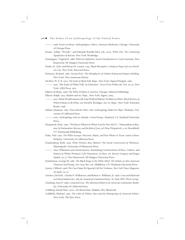- ———. 1998. *Exotics at Home: Anthropologies, Others, American Modernity*. Chicago: University of Chicago Press.
- Doane, Ashley "Woody"; and Eduardo Bonilla-Silva, eds. 2003. *White Out: The Continuing Significance of Racism*. New York: Routledge.
- Domínguez, Virginia R. 1986. *White by Definition: Social Classification in Creole Louisiana*. New Brunswick, NJ: Rutgers University Press.
- Drake, St. Clair; and Horace R. Cayton. 1945. *Black Metropolis: A Study of Negro Life in a Northern City*. New York: Harcourt Brace.
- Drinnon, Richard. 1980. *Facing West: The Metaphysics of Indian-Hating and Empire-Building*. New York: New American Library.
- Du Bois, W. E. B. 1903. *The Souls of Black Folk*. Repr., New York: Signet/Penguin, 1982.
- ———. 1920. The Souls of White Folk. In *Darkwater: Voices From Within the Veil,* 29–52. New York: AMS Press, 1971.
- Editors of *Ebony.* 1966. *The White Problem in America*. Chicago: Johnson Publishing.
- Ellison, Ralph. 1953. *Shadow and Act.* Repr., New York: Signet, 1964.
	- ———. 1970. What Would America Be Like Without Blacks? In *Black on White: Black Writers on What It Means to Be White,* ed. David R. Roediger, 160–67. Repr., New York: Schocken Books, 1998.
- Fabian, Johannes. 1983. *Time and the Other: How Anthropology Makes Its Object*. Berkeley: University of California Press.
- ———. 2001. *Anthropology with an Attitude: Critical Essays*. Stanford, CA: Stanford University Press.
- Fitzpatrick, Peter. 1995. "We Know What it Is When You Do Not Ask Us": Nationalism as Racism. In *Nationalism, Racism, and the Rule of Law*, ed. Peter Fitzpatrick, 3–26. Brookfield, VT: Dartmouth Publishing.
- Foley, Neil. 1997. *The White Scourge: Mexicans, Blacks, and Poor Whites in Texas Cotton Culture*. Berkeley: University of California Press.
- Frankenberg, Ruth. 1993. *White Women, Race Matters: The Social Construction of Whiteness*. Minneapolis: University of Minnesota Press.
	- ———. 1994. Whiteness and Americanness: Examining Constructions of Race, Culture, and Nation in White Women's Life Narratives. In *Race*, ed. Steven Gregory and Roger Sanjek, 62–77. New Brunswick, NJ: Rutgers University Press.
- Fredrickson, George M. 1987. *The Black Image in the White Mind: The Debate on Afro-American Character and Destiny, 1817–1914*. Rev. ed., Middleton, CN: Wesleyan University Press.
- Geertz, Clifford. 1968. We Can Claim No Special Gift for Violence. *New York Times Magazine,* 28 April, 24–25.
- Getches, David H.; Charles F. Wilkinson; and Robert A. Williams, Jr. 1998. *Cases and Materials on Federal Indian Law*. 4th ed. American Casebook Series. St. Paul, MN: West Group.
- Ginsburg, Faye D. 1989. *Contested Lives: The Abortion Debate in an American Community*. Berkeley: University of California Press.
- Goldberg, David Theo. 2002. *The Racial State*. Malden, MA: Blackwell.
- Goldfield, Michael. 1997. *The Color of Politics: Race and the Mainsprings of American Politics*. New York: The New Press.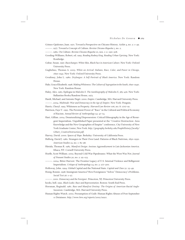- Gómez-Quiñones, Juan. 1971. Toward a Perspective on Chicano History. *Aztlán* 4, no. 2: 1–49.
- ———. 1977. Toward a Concept of Culture. *Revista Chicano-Riqueña* 5, no. 2.
- ———. 1982. On Culture. *Revista Chicano-Riqueña* 10, nos. 1–2: 290–308.
- Gooding-Williams, Robert, ed. 1993. *Reading Rodney King, Reading Urban Uprising*. New York: Routledge.
- Gubar, Susan. 1997. *Racechanges: White Skin, Black Face in American Culture*. New York: Oxford University Press.
- Guglielmo, Thomas A. 2003. *White on Arrival: Italians, Race, Color, and Power in Chicago, 1890–1945*. New York: Oxford University Press.
- Gwaltney, John L. 1980. *Drylongso: A Self-Portrait of Black America*. New York: Random House.
- Hale, Grace Elizabeth. 1998. *Making Whiteness: The Culture of Segregation in the South, 1890–1940*. New York: Random House.
- Haley, Alex. 1965. Epilogue in *Malcolm X. The Autobiography of Malcolm X*, 383-456. New York: Ballantine Books/Random House, 1973.
- Hardt, Michael; and Antonio Negri. 2000. *Empire*. Cambridge, MA: Harvard University Press.
- ———. 2004. *Multitude: War and Democracy in the Age of Empire*. New York: Penguin.
- Harris, Cheryl. 1993. Whiteness as Property. *Harvard Law Review* 106, no. 8: 1707–91.
- Harrison, Faye V. 1995. The Persistent Power of "Race" in the Cultural and Political Economy of Racism. *Annual Review of Anthropology* 24: 47–74.
- Hart, Gillian. 2004. Denaturalizing Dispossession: Critical Ethnography in the Age of Resurgent Imperialism. Unpublished Paper presented at the "Creative Destruction: Area Knowledge and the New Geographies of Empire" conference, City University of New York Graduate Center, New York. *http://geography.berkeley.edu/PeopleHistory/faculty/ GHart\_CreativeDestruction.pdf.*
- Harvey, David. 2000. *Spaces of Hope*. Berkeley: University of California Press.
- Hellwig, David J. 1982. Strangers in Their Own Land: Patterns of Black Nativism, 1830–1930. *American Studies* 23, no. 1: 85–98.
- Hietala, Thomas R. 1985. *Manifest Design: Anxious Aggrandizement in Late Jacksonian America*. Ithaca, NY: Cornell University Press.
- Hoefle, Scott William. 2003. Beyond Cold War Pipedreams: What the West Was Not. *Journal of Peasant Studies* 30, no. 2: 95–123.
- ———. 2004. Bitter Harvest: The Frontier Legacy of U.S. Internal Violence and Belligerent Imperialism. *Critique of Anthropology* 24, no. 3: 277–300.
- Holloway, John. 1994. Global Capital and the National State. *Capital and Class* 52: 23–49.
- Honig, Bonnie. 1998. Immigrant America? How Foreignness "Solves" Democracy's Problems. *Social Text* 56: 1–27.
- ———. 2001. *Democracy and the Foreigner*. Princeton, NJ: Princeton University Press.
- hooks, bell. 1992. *Black Looks: Race and Representation*. Boston: South End Press.
- Horsman, Reginald. 1981. *Race and Manifest Destiny: The Origins of American Racial Anglo-Saxonism*. Cambridge, MA: Harvard University Press.
- Human Rights Watch. 2002. Presumption of Guilt: Human Rights Abuses of Post-September 11 Detainees. *http://www.hrw.org/reports/2002/us911*.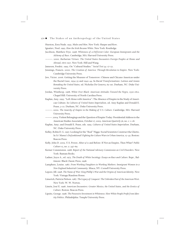Hurston, Zora Neale. 1935. *Mules and Men*. New York: Harper and Row.

Ignatiev, Noel. 1995. *How the Irish Became White*. New York: Routledge.

- Jacobson, Matthew Frye. 1998. *Whiteness of a Different Color: European Immigrants and the Alchemy of Race*. Cambridge, MA: Harvard University Press.
- ———. 2000. *Barbarian Virtues: The United States Encounters Foreign Peoples at Home and Abroad, 1876–1917*. New York: Hill and Wang.

Jameson, Fredric. 1993. On "Cultural Studies." *Social Text* 34: 17–52.

- Jennings, Francis. 2000. *The Creation of America: Through Revolution to Empire*. New York: Cambridge University Press.
- Jew, Victor. 2006. Getting the Measure of Tomorrow: Chinese and Chicano Americas under the Racial Gaze, 1934–35 and 1942–44. In *Racial Transformations: Latinos and Asians Remaking the United States,* ed. Nicholas De Genova, 62–90. Durham, NC: Duke University Press.
- Jordan, Winthrop. 1968. *White Over Black: American Attitudes Toward the Negro, 1550–1812*. Chapel Hill: University of North Carolina Press.
- Kaplan, Amy. 1993. "Left Alone with America": The Absence of Empire in the Study of American Culture. In *Cultures of United States Imperialism,* ed. Amy Kaplan and Donald E. Pease, 3–21. Durham, NC: Duke University Press.
- ———. 2002. *The Anarchy of Empire in the Making of U.S. Culture*. Cambridge, MA: Harvard University Press.
- ———. 2004. Violent Belongings and the Question of Empire Today: Presidential Address to the American Studies Association, October 17, 2003. *American Quarterly* 56, no. 1: 1–18.
- Kaplan, Amy; and Donald E. Pease, eds. 1993. *Cultures of United States Imperialism*. Durham, NC: Duke University Press.
- Kelley, Robin D. G. 1997. Looking for the "Real" Nigga: Social Scientists Construct the Ghetto. In *Yo' Mama's Disfunktional! Fighting the Culture Wars in Urban America, 15-42. Boston:* Beacon Press.
- Kelly, John D. 2003. U.S. Power, After 9/11 and Before: If Not an Empire, Then What? *Public Culture* 15, no. 2: 347–69.
- Kerner Commission. 1968. *Report of the National Advisory Commission on Civil Disorders.* New York: Bantam Books.
- Ladner, Joyce A., ed. 1973. *The Death of White Sociology: Essays on Race and Culture*. Repr., Baltimore: Black Classic Press, 1998.
- Lamphere, Louise. 1987. *From Working Daughters to Working Mothers: Immigrant Women in a New England Industrial Community*. Ithaca, NY: Cornell University Press.
- Lepore, Jill. 1998. *The Name of War: King Phillip's War and the Origins of American Identity*. New York: Vintage/Random House.
- Limerick, Patricia Nelson. 1987. *The Legacy of Conquest: The Unbroken Past of the American West*. New York: W. W. Norton.
- Limón, José E. 1998. *American Encounters: Greater Mexico, the United States, and the Erotics of Culture*. Boston: Beacon Press.
- Lipsitz, George. 1998. *The Possessive Investment in Whiteness: How White People Profit from Identity Politics*. Philadelphia: Temple University Press.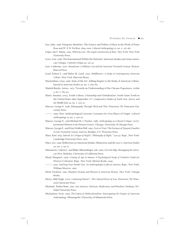- Liss, Julia. 1998. Diasporic Identities: The Science and Politics of Race in the Work of Franz Boas and W. E. B. Du Bois, 1894–1919. *Cultural Anthropology* 13, no. 2: 127–66.
- López, Ian F. Haney. 1995. *White by Law: The Legal Construction of Race*. New York: New York University Press.
- Lowe, Lisa. 1998. The International Within the National: American Studies and Asian American Critique. *Cultural Critique* 40: 29–47.
- Lutz, Catherine. 2001. *Homefront: A Military City and the American Twentieth Century*. Boston: Beacon Press.
- Lynd, Robert S.; and Helen M. Lynd. 1929. *Middletown: A Study in Contemporary American Culture*. New York: Harcourt Brace.
- Mackenthun, Gesa. 1996. State of the Art: Adding Empire to the Study of American Culture. *Journal of American Studies* 30, no. 2: 263–69.
- Madrid-Barela, Arturo. 1973. Towards an Understanding of the Chicano Experience. *Aztlán* 4, no. 1: 185–93.
- Maira, Sunaina. 2004. Youth Culture, Citizenship and Globalization: South Asian Youth in the United States after September 11th. *Comparative Studies of South Asia, Africa, and the Middle East* 24, no. 1: 219–31.
- Marcus, George E. 1998. *Ethnography Through Thick and Thin*. Princeton, NJ: Princeton University Press.
- ———. 1999. How Anthropological Curiosity Consumes Its Own Places of Origin. *Cultural Anthropology* 14, no. 3: 416–22.
- Marcus, George E.; and Michael M. J. Fischer. 1986. *Anthropology as Cultural Critique: An Experimental Moment in the Human Sciences*. Chicago: University of Chicago Press.
- Marcus, George E.; and Peter Dobkin Hall. 1992. *Lives in Trust: The Fortunes of Dynastic Families in Late Twentieth Century America*. Boulder, CO: Westview Press.
- Marx, Karl. 1844. Introd. to *Critique of Hegel's "Philosophy of Right,"* 129–42*.* Repr., New York: Cambridge University Press, 1970.
- Marx, Leo. 1999. Reflections on American Studies, Minnesota, and the 1950's. *American Studies*  40, no. 2: 39–51.
- Matsumoto, Valerie J.; and Blake Allmendinger, eds. 1999. *Over the Edge: Remapping the American West*. Berkeley: University of California Press.
- Mead, Margaret. 1928. *Coming of Age in Samoa: A Psychological Study of Primitive Youth for Western Civilization*. Repr., New York: Mentor Books, 1949.
	- ———. 1942. *And Keep Your Powder Dry: An Anthropologist Looks at America*. Repr., New York: William Morrow, 1965.
- Merk, Fredrick. 1963. *Manifest Destiny and Mission in American History*. New York: Vintage Books.
- Merry, Sally Engle. 2000. *Colonizing Hawai'i : The Cultural Power of Law*. Princeton, NJ: Princeton University Press.
- Michaels, Walter Benn. 1995. *Our America: Nativism, Modernism, and Pluralism*. Durham, NC: Duke University Press.
- Michaelsen, Scott. 1999. *The Limits of Multiculturalism: Interrogating the Origins of American Anthropology*. Minneapolis: University of Minnesota Press.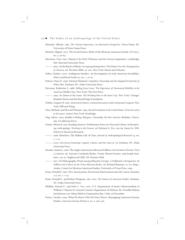- Mirandé, Alfredo. 1985. *The Chicano Experience: An Alternative Perspective*. Notre Dame, IN: University of Notre Dame Press.
- Montiel, Miguel. 1970. The Social Science Myth of the Mexican-American Family. *El Grito* 3, no. 4: 56–63.
- Morrison, Toni. 1992. *Playing in the Dark: Whiteness and the Literary Imagination*. Cambridge, MA: Harvard University Press.
	- ———. 1994. On the Backs of Blacks. In *Arguing Immigration: The Debate Over the Changing Face of America,* ed. Nicolaus Mills, 97–100. New York: Simon and Schuster.
- Naber, Nadine. 2000. Ambiguous Insiders: An Investigation of Arab American Invisibility. *Ethnic and Racial Studies* 23, no. 1: 37–61.
- Nelson, Dana D. 1998. *National Manhood: Capitalist Citizenship and the Imagined Fraternity of White Men*. Durham, NC: Duke University Press.
- Newman, Katherine S. 1988. *Falling from Grace: The Experience of Downward Mobility in the American Middle Class*. New York: The Free Press.
- ———. 1999. *No Shame in My Game: The Working Poor in the Inner City*. New York: Vintage/ Random House and the Russell Sage Foundation.
- Nobles, Gregory H. 1997. *American Frontiers: Cultural Encounters and Continental Conquest*. New York: Hill and Wang.
- Omi, Michael; and Howard Winant. 1994. *Racial Formation in the United States: From the 1960s to the 1990s*. 2nd ed. New York: Routledge.
- Ong, Aihwa. 2003. *Buddha is Hiding: Refugees, Citizenship, the New America*. Berkeley: University of California Press.
- Ortner, Sherry B. 1991. Reading America: Preliminary Notes on Class and Culture. In *Recapturing Anthropology: Working in the Present,* ed. Richard G. Fox, 163–89. Santa Fe, NM: School of American Research.
- ———. 1998. Identities: The Hidden Life of Class. *Journal of Anthropological Research* 54, no. 1: 1–17.
- ———. 2003. *New Jersey Dreaming: Capital, Culture, and the Class of '58*. Durham, NC: Duke University Press.
- Paredes, Américo. 1966. The Anglo-American in Mexican Folklore. In *Literatura Chicana: Texto y Contexto,* ed. Antonia Castañeda Shular, Tomás Ybarra-Frausto, and Joseph Sommers, 141–50. Englewood Cliffs, NJ: Prentice-Hall.
- ———. 1977. On Ethnographic Work among Minority Groups: A Folklorist's Perspective. In *Folklore and Culture of the Texas-Mexican Border,* ed. Richard Bauman, 73–110. Repr., Austin: Center for Mexican American Studies, University of Texas Press, 1993.
- Pease, Donald E. 1990. New Americanists: Revisionist Interventions into the Canon. *boundary 2* 17, no. 1: 1–37.
- Pease, Donald E.; and Robyn Wiegman, eds. 2002. *The Futures of American Studies*. Durham, NC: Duke University Press.
- Philibin, Patrick F.; and John C. Yoo. 2001. U.S. Department of Justice Memorandum to William J. Haynes II, General Counsel, Department of Defense, Re: Possible Habeas Jurisdiction over Aliens Held in Guantanamo Bay, Cuba, 28 December.
- Porter, Carolyn. 1994. What We Know That We Don't Know: Remapping American Literary Studies. *American Literary History* 6, no. 3: 467–526.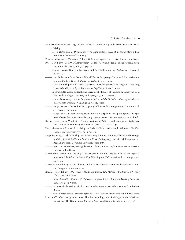- Powdermaker, Hortense. 1939. *After Freedom: A Cultural Study in the Deep South*. New York: Viking.
- ———. 1950. *Hollywood, the Dream Factory: An Anthropologist Looks at the Movie-Makers*. Boston: Little, Brown and Company.

Prashad, Vijay. 2000. *The Karma of Brown Folk*. Minneapolis: University of Minnesota Press.

- Price, David. 1998. Cold War Anthropology: Collaborators and Victims of the National Security State. *Identities* 4, nos. 3–4: 389–430.
- ———. 2002a. Present Dangers, Past Wars and Past Anthropologies. *Anthropology Today* 18, no. 1: 3–5.
- ———. 2002b. Lessons From Second World War Anthropology: Peripheral, Persuasive and Ignored Contributions. *Anthropology Today* 18, no. 3: 14–20.
- ———. 2002c. Interlopers and Invited Guests: On Anthropology's Witting and Unwitting Links to Intelligence Agencies. *Anthropology Today* 18, no. 6: 16–21.
- ———. 2003. Subtle Means and Enticing Carrots: The Impact of Funding on American Cold War Anthropology. *Critique of Anthropology* 23, no. 4: 373–401.
	- ———. 2004. *Threatening Anthropology: McCarthyism and the FBI's Surveillance of Activist Anthropologists*. Durham, NC: Duke University Press.
- -- 2005a. America the Ambivalent: Quietly Selling Anthropology to the CIA. Anthropol*ogy Today* 21, no. 5: 1–2.
- ———. 2005b. How U.S. Anthropologists Planned "Race-Specific" Weapons Against the Japanese. *CounterPunch,* 25 November. *http://www.counterpunch.com/price11252005.html.*
- Radway, Janice. 1999. What's in a Name? Presidential Address to the American Studies Association, 20 November 1998. *American Quarterly* 51, no. 1: 1–32.
- Ramos-Zayas, Ana Y. 2001. Racializing the Invisible Race: Latinos and "Whiteness" in Chicago. *Urban Anthropology* 30, no. 4: 341–80.
- Rapp, Rayna. 1978. Urban Kinship in Contemporary America: Families, Classes, and Ideology. In *Cities of the United States: Studies in Urban Anthropology,* by Leith Mullings, 219–42. Repr., New York: Columbia University Press, 1987.
- ———. 1999. *Testing Women, Testing the Fetus: The Social Impact of Amniocentesis in America*. New York: Routledge.
- Rivera Ramos, Efrén. 2001. *The Legal Construction of Identity: The Judicial and Social Legacy of American Colonialism in Puerto Rico*. Washington, DC: American Psychological Association.
- Rocco, Raymond A. 1976. The Chicano in the Social Sciences: Traditional Concepts, Myths, and Images. *Aztlán* 7, no. 1; 75-97.
- Roediger, David R. 1991. *The Wages of Whiteness: Race and the Making of the American Working Class*. New York: Verso.
- -- 1994. Toward the Abolition of Whiteness: Essays on Race, Politics, and Working Class His*tory*. New York: Verso.
- ———, ed. 1998. *Black on White: Black Writers on What It Means to Be White*. New York: Schocken Books.
	- ———. 2002. *Colored White: Transcending the Racial Past*. Berkeley: University of California Press.
- Romano-V., Octavio Ignacio. 1968. The Anthropology and Sociology of the Mexican-Americans: The Distortion of Mexican-American History*. El Grito* 2, no. 1: 13–26.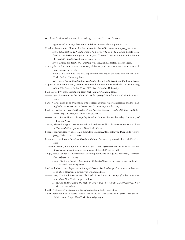———. 1970. Social Science, Objectivity, and the Chicanos. *El Grito* 4, no. 1: 4–16.

Rosaldo, Renato. 1985. Chicano Studies, 1970–1984. *Annual Review of Anthropology* 14: 405–27.

- ———. 1986. *When Natives Talk Back: Chicano Anthropology Since the Late Sixties*. Renato Rosaldo Lecture Series, monograph no. 2: 3–20. Tucson: Mexican American Studies and Research Center/University of Arizona Press.
- ———. 1989. *Culture and Truth: The Remaking of Social Analysis*. Boston: Beacon Press.
- Rowe, John Carlos. 1998. Post-Nationalism, Globalism, and the New American Studies. *Cultural Critique* 40: 11–28.
	- ———. 2000a. *Literary Culture and U.S. Imperialism: From the Revolution to World War II*. New York: Oxford University Press.
- ———, ed. 2000b. *Post-Nationalist American Studies*. Berkeley: University of California Press.
- Ruppel, Kristin Tanner. 2003. Nations Undivided, Indian Land Unearthed: The Dis-Owning of the U.S. Federal Indian Trust. PhD diss., Columbia University.

Said, Edward W. 1979. *Orientalism*. New York: Vintage/Random House.

———. 1989. Representing the Colonized: Anthropology's Interlocutors. *Critical Inquiry* 15: 205–25.

- Saito, Natsu Taylor. 2001. Symbolism Under Siege: Japanese American Redress and the "Racing" of Arab Americans as "Terrorists." *Asian Law Journal* 8: 1–29.
- Saldívar, José David. 1991. *The Dialectics of Our America: Genealogy, Cultural Critique, and Literary History*. Durham, NC: Duke University Press.
- ———. 1997. *Border Matters: Remapping American Cultural Studies.* Berkeley: University of California Press.
- Saxton, Alexander. 1990. *The Rise and Fall of the White Republic: Class Politics and Mass Culture in Nineteenth-Century America*. New York: Verso.
- Scheper-Hughes, Nancy. 2001. Ishi's Brain, Ishi's Ashes: Anthropology and Genocide. *Anthropology Today* 17, no. 1: 12–18.
- Schneider, David. 1968. *American Kinship: A Cultural Account*. Englewood Cliffs, NJ: Prentice-Hall.

Schneider, David; and Raymond T. Smith. 1973. *Class Differences and Sex Roles in American Kinship and Family Structure*. Englewood Cliffs, NJ: Prentice-Hall.

Singh, Nikhil Pal. 1998. Culture/Wars: Recoding Empire in an Age of Democracy. *American Quarterly* 50, no. 3: 471–522.

- ———. 2004. *Black is a Country: Race and the Unfinished Struggle for Democracy*. Cambridge, MA: Harvard University Press.
- Slotkin, Richard. 1973. *Regeneration through Violence: The Mythology of the American Frontier, 1600–1860*. Norman: University of Oklahoma Press.
- ———. 1985. *The Fatal Environment: The Myth of the Frontier in the Age of Industrialization, 1800–1890*. New York: Harper-Collins.
- ———. 1992. *Gunfighter Nation: The Myth of the Frontier in Twentieth-Century America*. New York: Harper-Collins.
- Smith, Neil. 2005. *The Endgame of Globalization*. New York: Routledge.
- Smith, Raymond T. 1966. Plural Society Theory. In *The Matrifocal Family: Power, Pluralism, and Politics*, 101–9. Repr., New York: Routledge, 1996.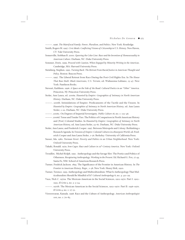———. 1996. *The Matrifocal Family: Power, Pluralism, and Politics*. New York: Routledge.

- Smith, Rogers M. 1997. *Civic Ideals: Conflicting Visions of Citizenship in U.S. History*. New Haven, CT: Yale University Press.
- Somerville, Siobhan B. 2000. *Queering the Color Line: Race and the Invention of Homosexuality in American Culture*. Durham, NC: Duke University Press.
- Sommer, Doris. 1999. *Proceed with Caution, When Engaged by Minority Writing in the Americas*. Cambridge, MA: Harvard University Press.
- Steinberg, Stephen. 1995. *Turning Back: The Retreat From Racial Justice in American Thought and Policy*. Boston: Beacon Press.
- ———. 1997. The Liberal Retreat from Race During the Post-Civil Rights Era. In *The House That Race Built: Black Americans, U.S. Terrain,* ed. Wahneema Lubiano, 13–47. New York: Pantheon Books.
- Stewart, Kathleen. 1996. *A Space on the Side of the Road: Cultural Poetics in an "Other" America*. Princeton, NJ: Princeton University Press.
- Stoler, Ann Laura, ed. 2006a. *Haunted by Empire: Geographies of Intimacy in North American History*. Durham, NC: Duke University Press.
- ———. 2006b. Intimidations of Empire: Predicaments of the Tactile and the Unseen. In *Haunted by Empire: Geographies of Intimacy in North American History,* ed. Ann Laura Stoler, 1–22. Durham, NC: Duke University Press.
- ———. 2006c. On Degrees of Imperial Sovereignty. *Public Culture* 18, no. 1: 125–46.
- ———. 2006d. Tense and Tender Ties: The Politics of Comparison in North American History and (Post) Colonial Studies. In *Haunted by Empire: Geographies of Intimacy in North American History,* ed. Ann Laura Stoler, 23–67. Durham, NC: Duke University Press.
- Stoler, Ann Laura; and Frederick Cooper. 1997. Between Metropole and Colony: Rethinking a Research Agenda. In *Tensions of Empire: Colonial Cultures in a Bourgeois World,* ed. Frederick Cooper and Ann Laura Stoler, 1–56. Berkeley: University of California Press.
- Susser, Ida. 1982. *Norman Street: Poverty and Politics in an Urban Neighborhood*. New York: Oxford University Press.
- Takaki, Ronald. 1979. *Iron Cages: Race and Culture in 19th-Century America*. New York: Oxford University Press.
- Trouillot, Michel-Rolph. 1991. Anthropology and the Savage Slot: The Poetics and Politics of Otherness. *Recapturing Anthropology: Working in the Present.* Ed. Richard G. Fox, 17-44. Santa Fe, NM: School of American Research Press.
- Turner, Fredrick Jackson. 1893. The Significance of the Frontier in American History. In *The Frontier in American History*. Repr., 1–38. New York: Henry Holt, 1920.
- Turner, Terence. 1993. Anthropology and Multiculturalism: What Is Anthropology That Multiculturalists Should Be Mindful of It? *Cultural Anthropology* 8, no. 4: 411–29.
- Vaca, Nick C. 1970a. The Mexican-American in the Social Sciences, 1912–1970: Part I: 1912– 1935. *El Grito* 3, no. 3: 3–24.
- ———. 1970b. The Mexican-American in the Social Sciences, 1912–1970: Part II: 1936–1970. *El Grito* 4, no. 1: 17–51.
- Visweswaran, Kamala. 1998. Race and the Culture of Anthropology. *American Anthropologist* 100, no. 1: 70–83.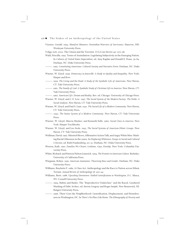- Vizenor, Gerald. 1994. *Manifest Manners: Postindian Warriors of Survivance*. Hanover, NH: Wesleyan University Press.
- Volpp, Leti. 2002. The Citizen and the Terrorist. *UCLA Law Review* 49: 1575–98.
- Wald, Priscilla. 1993. Terms of Assimilation: Legislating Subjectivity in the Emerging Nation. In *Cultures of United States Imperialism*, ed. Amy Kaplan and Donald E. Pease, 59–84. Durham, NC: Duke University Press.
	- ———. 1995. *Constituting Americans: Cultural Anxiety and Narrative Form*. Durham, NC: Duke University Press.
- Warner, W. Lloyd. 1949. *Democracy in Jonesville: A Study in Quality and Inequality*. New York: Harper and Row.
- ———. 1959. *The Living and the Dead: A Study of the Symbolic Life of Americans*. New Haven, CT: Yale University Press.
- ———. 1961. *The Family of God: A Symbolic Study of Christian Life in America*. New Haven, CT: Yale University Press.
- ———. 1962. *American Life: Dream and Reality*, Rev. ed. Chicago: University of Chicago Press.
- Warner, W. Lloyd; and J. O. Low. 1947. *The Social System of the Modern Factory. The Strike: A Social Analysis*. New Haven, CT: Yale University Press.
- Warner, W. Lloyd; and Paul S. Lunt. 1941. *The Social Life of a Modern Community*. New Haven, CT: Yale University Press.
- ———. 1942. *The Status System of a Modern Community*. New Haven, CT: Yale University Press.
- Warner, W. Lloyd; Marcia Meeker; and Kenneth Eells. 1960. *Social Class in America*. New York: Harper Torchbooks.
- Warner, W. Lloyd; and Leo Srole. 1945. *The Social Systems of American Ethnic Groups*. New Haven, CT: Yale University Press.
- Wellman, David. 1997. Minstrel Shows, Affirmative Action Talk, and Angry White Men: Marking Racial Otherness in the 1990s. In *Displacing Whiteness: Essays in Social and Cultural Criticism,* ed. Ruth Frankenberg, 311–31. Durham, NC: Duke University Press.
- Weston, Kath. 1991. *Families We Choose: Lesbians, Gays, Kinship*. New York: Columbia University Press.
- White, Richard; and Patricia Nelson Limerick. 1994. *The Frontier in American Culture*. Berkeley: University of California Press.
- Wiegman, Robyn. 1995. *American Anatomies: Theorizing Race and Gender*. Durham, NC: Duke University Press.
- Williams, Brackette F. 1989. A Class Act: Anthropology and the Race to Nation across Ethnic Terrain. *Annual Review of Anthropology* 18: 401–44.
- Williams, Brett. 1988. *Upscaling Downtown: Stalled Gentrification in Washington, D.C.* Ithaca, NY: Cornell University Press.
- ———. 1994. Babies and Banks: The "Reproductive Underclass" and the Raced, Gendered Masking of Debt. In *Race*, ed. Steven Gregory and Roger Sanjek. New Brunswick, NJ: Rutgers University Press.
- ———. 1996. There Goes the Neighborhood: Gentrification, Displacement, and Homelessness in Washington, DC. In *There's No Place Like Home: The Ethnography of Poverty and*